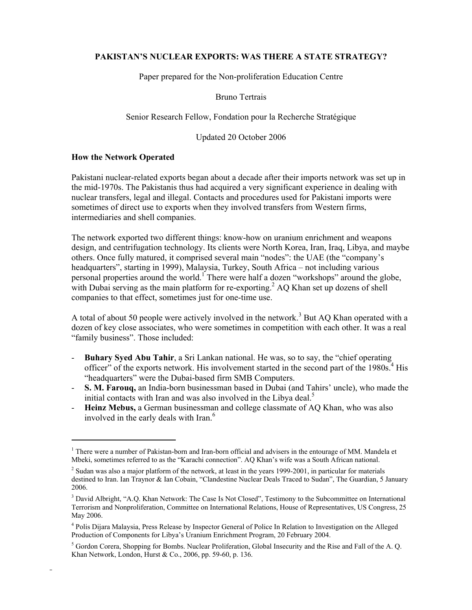## **PAKISTAN'S NUCLEAR EXPORTS: WAS THERE A STATE STRATEGY?**

Paper prepared for the Non-proliferation Education Centre

Bruno Tertrais

Senior Research Fellow, Fondation pour la Recherche Stratégique

Updated 20 October 2006

#### **How the Network Operated**

l

Pakistani nuclear-related exports began about a decade after their imports network was set up in the mid-1970s. The Pakistanis thus had acquired a very significant experience in dealing with nuclear transfers, legal and illegal. Contacts and procedures used for Pakistani imports were sometimes of direct use to exports when they involved transfers from Western firms, intermediaries and shell companies.

The network exported two different things: know-how on uranium enrichment and weapons design, and centrifugation technology. Its clients were North Korea, Iran, Iraq, Libya, and maybe others. Once fully matured, it comprised several main "nodes": the UAE (the "company's headquarters", starting in 1999), Malaysia, Turkey, South Africa – not including various personal properties around the world.<sup>1</sup> There were half a dozen "workshops" around the globe, with Dubai serving as the main platform for re-exporting.<sup>2</sup> AQ Khan set up dozens of shell companies to that effect, sometimes just for one-time use.

A total of about 50 people were actively involved in the network.<sup>3</sup> But AQ Khan operated with a dozen of key close associates, who were sometimes in competition with each other. It was a real "family business". Those included:

- **Buhary Syed Abu Tahir**, a Sri Lankan national. He was, so to say, the "chief operating officer" of the exports network. His involvement started in the second part of the 1980s.<sup>4</sup> His "headquarters" were the Dubai-based firm SMB Computers.
- **S. M. Farouq,** an India-born businessman based in Dubai (and Tahirs' uncle), who made the initial contacts with Iran and was also involved in the Libya deal.<sup>5</sup>
- **Heinz Mebus,** a German businessman and college classmate of AQ Khan, who was also involved in the early deals with Iran.<sup>6</sup>

<sup>&</sup>lt;sup>1</sup> There were a number of Pakistan-born and Iran-born official and advisers in the entourage of MM. Mandela et Mbeki, sometimes referred to as the "Karachi connection". AQ Khan's wife was a South African national.

 $2$  Sudan was also a major platform of the network, at least in the years 1999-2001, in particular for materials destined to Iran. Ian Traynor & Ian Cobain, "Clandestine Nuclear Deals Traced to Sudan", The Guardian, 5 January 2006.

<sup>&</sup>lt;sup>3</sup> David Albright, "A.Q. Khan Network: The Case Is Not Closed", Testimony to the Subcommittee on International Terrorism and Nonproliferation, Committee on International Relations, House of Representatives, US Congress, 25 May 2006.

<sup>&</sup>lt;sup>4</sup> Polis Dijara Malaysia, Press Release by Inspector General of Police In Relation to Investigation on the Alleged Production of Components for Libya's Uranium Enrichment Program, 20 February 2004.

<sup>&</sup>lt;sup>5</sup> Gordon Corera, Shopping for Bombs. Nuclear Proliferation, Global Insecurity and the Rise and Fall of the A. Q. Khan Network, London, Hurst & Co., 2006, pp. 59-60, p. 136.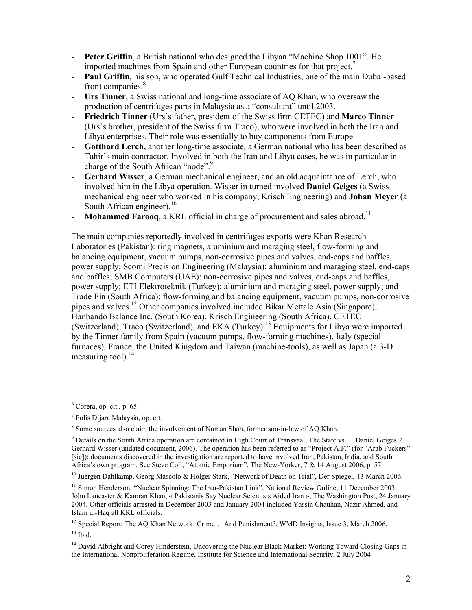- **Peter Griffin**, a British national who designed the Libyan "Machine Shop 1001". He imported machines from Spain and other European countries for that project.<sup>7</sup>
- **Paul Griffin**, his son, who operated Gulf Technical Industries, one of the main Dubai-based front companies.<sup>8</sup>
- **Urs Tinner**, a Swiss national and long-time associate of AQ Khan, who oversaw the production of centrifuges parts in Malaysia as a "consultant" until 2003.
- **Friedrich Tinner** (Urs's father, president of the Swiss firm CETEC) and **Marco Tinner**  (Urs's brother, president of the Swiss firm Traco), who were involved in both the Iran and Libya enterprises. Their role was essentially to buy components from Europe.
- Gotthard Lerch, another long-time associate, a German national who has been described as Tahir's main contractor. Involved in both the Iran and Libya cases, he was in particular in charge of the South African "node".<sup>9</sup>
- **Gerhard Wisser**, a German mechanical engineer, and an old acquaintance of Lerch, who involved him in the Libya operation. Wisser in turned involved **Daniel Geiges** (a Swiss mechanical engineer who worked in his company, Krisch Engineering) and **Johan Meyer** (a South African engineer). $10$
- **Mohammed Farooq**, a KRL official in charge of procurement and sales abroad.<sup>11</sup>

The main companies reportedly involved in centrifuges exports were Khan Research Laboratories (Pakistan): ring magnets, aluminium and maraging steel, flow-forming and balancing equipment, vacuum pumps, non-corrosive pipes and valves, end-caps and baffles, power supply; Scomi Precision Engineering (Malaysia): aluminium and maraging steel, end-caps and baffles; SMB Computers (UAE): non-corrosive pipes and valves, end-caps and baffles, power supply; ETI Elektroteknik (Turkey): aluminium and maraging steel, power supply; and Trade Fin (South Africa): flow-forming and balancing equipment, vacuum pumps, non-corrosive pipes and valves.12 Other companies involved included Bikar Mettale Asia (Singapore), Hanbando Balance Inc. (South Korea), Krisch Engineering (South Africa), CETEC (Switzerland), Traco (Switzerland), and EKA (Turkey).<sup>13</sup> Equipments for Libya were imported by the Tinner family from Spain (vacuum pumps, flow-forming machines), Italy (special furnaces), France, the United Kingdom and Taiwan (machine-tools), as well as Japan (a 3-D measuring tool). $<sup>14</sup>$ </sup>

 $13$  Ibid.

 <sup>6</sup>  $6$  Corera, op. cit., p. 65.

<sup>7</sup> Polis Dijara Malaysia, op. cit.

<sup>&</sup>lt;sup>8</sup> Some sources also claim the involvement of Noman Shah, former son-in-law of AQ Khan.

<sup>&</sup>lt;sup>9</sup> Details on the South Africa operation are contained in High Court of Transvaal, The State vs. 1. Daniel Geiges 2. Gerhard Wisser (undated document, 2006). The operation has been referred to as "Project A.F." (for "Arab Fuckers" [sic]); documents discovered in the investigation are reported to have involved Iran, Pakistan, India, and South Africa's own program. See Steve Coll, "Atomic Emporium", The New-Yorker, 7 & 14 August 2006, p. 57.

<sup>10</sup> Juergen Dahlkamp, Georg Mascolo & Holger Stark, "Network of Death on Trial", Der Spiegel, 13 March 2006.

<sup>&</sup>lt;sup>11</sup> Simon Henderson, "Nuclear Spinning: The Iran-Pakistan Link", National Review Online, 11 December 2003; John Lancaster & Kamran Khan, « Pakistanis Say Nuclear Scientists Aided Iran », The Washington Post, 24 January 2004. Other officials arrested in December 2003 and January 2004 included Yassin Chauhan, Nazir Ahmed, and Islam ul-Haq all KRL officials.

<sup>&</sup>lt;sup>12</sup> Special Report: The AQ Khan Network: Crime... And Punishment?, WMD Insights, Issue 3, March 2006.

<sup>&</sup>lt;sup>14</sup> David Albright and Corey Hinderstein, Uncovering the Nuclear Black Market: Working Toward Closing Gaps in the International Nonproliferation Regime, Institute for Science and International Security, 2 July 2004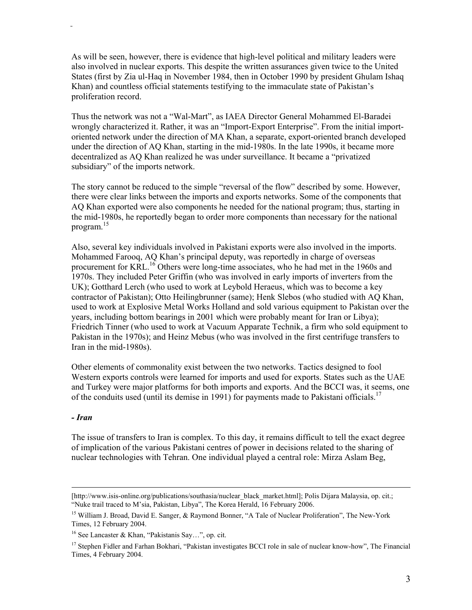As will be seen, however, there is evidence that high-level political and military leaders were also involved in nuclear exports. This despite the written assurances given twice to the United States (first by Zia ul-Haq in November 1984, then in October 1990 by president Ghulam Ishaq Khan) and countless official statements testifying to the immaculate state of Pakistan's proliferation record.

Thus the network was not a "Wal-Mart", as IAEA Director General Mohammed El-Baradei wrongly characterized it. Rather, it was an "Import-Export Enterprise". From the initial importoriented network under the direction of MA Khan, a separate, export-oriented branch developed under the direction of AQ Khan, starting in the mid-1980s. In the late 1990s, it became more decentralized as AQ Khan realized he was under surveillance. It became a "privatized subsidiary" of the imports network.

The story cannot be reduced to the simple "reversal of the flow" described by some. However, there were clear links between the imports and exports networks. Some of the components that AQ Khan exported were also components he needed for the national program; thus, starting in the mid-1980s, he reportedly began to order more components than necessary for the national program.15

Also, several key individuals involved in Pakistani exports were also involved in the imports. Mohammed Farooq, AQ Khan's principal deputy, was reportedly in charge of overseas procurement for KRL.<sup>16</sup> Others were long-time associates, who he had met in the 1960s and 1970s. They included Peter Griffin (who was involved in early imports of inverters from the UK); Gotthard Lerch (who used to work at Leybold Heraeus, which was to become a key contractor of Pakistan); Otto Heilingbrunner (same); Henk Slebos (who studied with AQ Khan, used to work at Explosive Metal Works Holland and sold various equipment to Pakistan over the years, including bottom bearings in 2001 which were probably meant for Iran or Libya); Friedrich Tinner (who used to work at Vacuum Apparate Technik, a firm who sold equipment to Pakistan in the 1970s); and Heinz Mebus (who was involved in the first centrifuge transfers to Iran in the mid-1980s).

Other elements of commonality exist between the two networks. Tactics designed to fool Western exports controls were learned for imports and used for exports. States such as the UAE and Turkey were major platforms for both imports and exports. And the BCCI was, it seems, one of the conduits used (until its demise in 1991) for payments made to Pakistani officials.<sup>17</sup>

#### *- Iran*

The issue of transfers to Iran is complex. To this day, it remains difficult to tell the exact degree of implication of the various Pakistani centres of power in decisions related to the sharing of nuclear technologies with Tehran. One individual played a central role: Mirza Aslam Beg,

<sup>[</sup>http://www.isis-online.org/publications/southasia/nuclear\_black\_market.html]; Polis Dijara Malaysia, op. cit.; "Nuke trail traced to M'sia, Pakistan, Libya", The Korea Herald, 16 February 2006.

<sup>&</sup>lt;sup>15</sup> William J. Broad, David E. Sanger, & Raymond Bonner, "A Tale of Nuclear Proliferation", The New-York Times, 12 February 2004.

<sup>16</sup> See Lancaster & Khan, "Pakistanis Say…", op. cit.

<sup>&</sup>lt;sup>17</sup> Stephen Fidler and Farhan Bokhari, "Pakistan investigates BCCI role in sale of nuclear know-how", The Financial Times, 4 February 2004.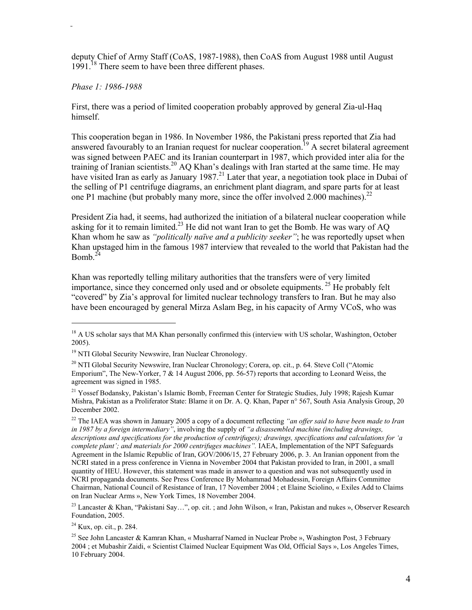deputy Chief of Army Staff (CoAS, 1987-1988), then CoAS from August 1988 until August  $1991<sup>18</sup>$  There seem to have been three different phases.

#### *Phase 1: 1986-1988*

First, there was a period of limited cooperation probably approved by general Zia-ul-Haq himself.

This cooperation began in 1986. In November 1986, the Pakistani press reported that Zia had answered favourably to an Iranian request for nuclear cooperation.<sup>19</sup> A secret bilateral agreement was signed between PAEC and its Iranian counterpart in 1987, which provided inter alia for the training of Iranian scientists.<sup>20</sup> AQ Khan's dealings with Iran started at the same time. He may have visited Iran as early as January 1987.<sup>21</sup> Later that year, a negotiation took place in Dubai of the selling of P1 centrifuge diagrams, an enrichment plant diagram, and spare parts for at least one P1 machine (but probably many more, since the offer involved 2.000 machines).<sup>22</sup>

President Zia had, it seems, had authorized the initiation of a bilateral nuclear cooperation while asking for it to remain limited.<sup>23</sup> He did not want Iran to get the Bomb. He was wary of AQ Khan whom he saw as *"politically naïve and a publicity seeker"*; he was reportedly upset when Khan upstaged him in the famous 1987 interview that revealed to the world that Pakistan had the Bomb $^{24}$ 

Khan was reportedly telling military authorities that the transfers were of very limited importance, since they concerned only used and or obsolete equipments. 25 He probably felt "covered" by Zia's approval for limited nuclear technology transfers to Iran. But he may also have been encouraged by general Mirza Aslam Beg, in his capacity of Army VCoS, who was

<sup>21</sup> Yossef Bodansky, Pakistan's Islamic Bomb, Freeman Center for Strategic Studies, July 1998; Rajesh Kumar Mishra, Pakistan as a Proliferator State: Blame it on Dr. A. Q. Khan, Paper n° 567, South Asia Analysis Group, 20 December 2002.

<sup>&</sup>lt;sup>18</sup> A US scholar says that MA Khan personally confirmed this (interview with US scholar, Washington, October 2005).

<sup>&</sup>lt;sup>19</sup> NTI Global Security Newswire, Iran Nuclear Chronology.

<sup>&</sup>lt;sup>20</sup> NTI Global Security Newswire, Iran Nuclear Chronology; Corera, op. cit., p. 64. Steve Coll ("Atomic Emporium", The New-Yorker, 7 & 14 August 2006, pp. 56-57) reports that according to Leonard Weiss, the agreement was signed in 1985.

<sup>22</sup> The IAEA was shown in January 2005 a copy of a document reflecting *"an offer said to have been made to Iran in 1987 by a foreign intermediary"*, involving the supply of *"a disassembled machine (including drawings, descriptions and specifications for the production of centrifuges); drawings, specifications and calculations for 'a complete plant'; and materials for 2000 centrifuges machines".* IAEA, Implementation of the NPT Safeguards Agreement in the Islamic Republic of Iran, GOV/2006/15, 27 February 2006, p. 3. An Iranian opponent from the NCRI stated in a press conference in Vienna in November 2004 that Pakistan provided to Iran, in 2001, a small quantity of HEU. However, this statement was made in answer to a question and was not subsequently used in NCRI propaganda documents. See Press Conference By Mohammad Mohadessin, Foreign Affairs Committee Chairman, National Council of Resistance of Iran, 17 November 2004 ; et Elaine Sciolino, « Exiles Add to Claims on Iran Nuclear Arms », New York Times, 18 November 2004.

<sup>&</sup>lt;sup>23</sup> Lancaster & Khan, "Pakistani Say...", op. cit. ; and John Wilson, « Iran, Pakistan and nukes », Observer Research Foundation, 2005.

<sup>24</sup> Kux, op. cit., p. 284.

<sup>&</sup>lt;sup>25</sup> See John Lancaster & Kamran Khan, « Musharraf Named in Nuclear Probe », Washington Post, 3 February 2004 ; et Mubashir Zaidi, « Scientist Claimed Nuclear Equipment Was Old, Official Says », Los Angeles Times, 10 February 2004.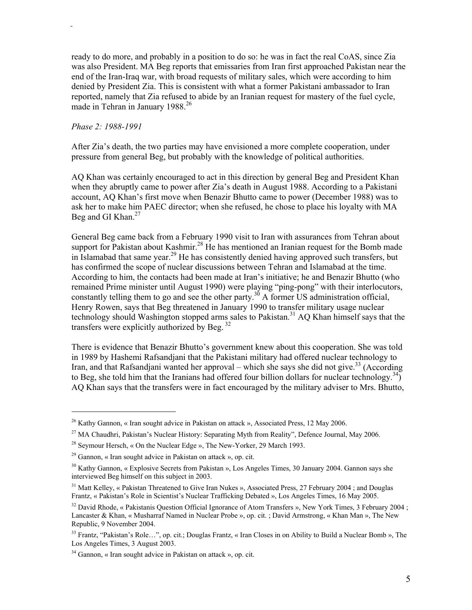ready to do more, and probably in a position to do so: he was in fact the real CoAS, since Zia was also President. MA Beg reports that emissaries from Iran first approached Pakistan near the end of the Iran-Iraq war, with broad requests of military sales, which were according to him denied by President Zia. This is consistent with what a former Pakistani ambassador to Iran reported, namely that Zia refused to abide by an Iranian request for mastery of the fuel cycle, made in Tehran in January 1988.<sup>26</sup>

#### *Phase 2: 1988-1991*

l

After Zia's death, the two parties may have envisioned a more complete cooperation, under pressure from general Beg, but probably with the knowledge of political authorities.

AQ Khan was certainly encouraged to act in this direction by general Beg and President Khan when they abruptly came to power after Zia's death in August 1988. According to a Pakistani account, AQ Khan's first move when Benazir Bhutto came to power (December 1988) was to ask her to make him PAEC director; when she refused, he chose to place his loyalty with MA Beg and GI Khan. $27$ 

General Beg came back from a February 1990 visit to Iran with assurances from Tehran about support for Pakistan about Kashmir.<sup>28</sup> He has mentioned an Iranian request for the Bomb made in Islamabad that same year.<sup>29</sup> He has consistently denied having approved such transfers, but has confirmed the scope of nuclear discussions between Tehran and Islamabad at the time. According to him, the contacts had been made at Iran's initiative; he and Benazir Bhutto (who remained Prime minister until August 1990) were playing "ping-pong" with their interlocutors, constantly telling them to go and see the other party.<sup>30</sup> A former US administration official, Henry Rowen, says that Beg threatened in January 1990 to transfer military usage nuclear technology should Washington stopped arms sales to Pakistan.<sup>31</sup> AQ Khan himself says that the transfers were explicitly authorized by Beg. 32

There is evidence that Benazir Bhutto's government knew about this cooperation. She was told in 1989 by Hashemi Rafsandjani that the Pakistani military had offered nuclear technology to Iran, and that Rafsandjani wanted her approval – which she says she did not give.<sup>33</sup> (According to Beg, she told him that the Iranians had offered four billion dollars for nuclear technology.<sup>34</sup>) AQ Khan says that the transfers were in fact encouraged by the military adviser to Mrs. Bhutto,

<sup>&</sup>lt;sup>26</sup> Kathy Gannon, « Iran sought advice in Pakistan on attack », Associated Press, 12 May 2006.

<sup>&</sup>lt;sup>27</sup> MA Chaudhri, Pakistan's Nuclear History: Separating Myth from Reality", Defence Journal, May 2006.

<sup>&</sup>lt;sup>28</sup> Seymour Hersch, « On the Nuclear Edge », The New-Yorker, 29 March 1993.

 $29$  Gannon, « Iran sought advice in Pakistan on attack », op. cit.

<sup>&</sup>lt;sup>30</sup> Kathy Gannon, « Explosive Secrets from Pakistan », Los Angeles Times, 30 January 2004. Gannon says she interviewed Beg himself on this subject in 2003.

<sup>&</sup>lt;sup>31</sup> Matt Kelley, « Pakistan Threatened to Give Iran Nukes », Associated Press, 27 February 2004; and Douglas Frantz, « Pakistan's Role in Scientist's Nuclear Trafficking Debated », Los Angeles Times, 16 May 2005.

<sup>&</sup>lt;sup>32</sup> David Rhode, « Pakistanis Question Official Ignorance of Atom Transfers », New York Times, 3 February 2004; Lancaster & Khan, « Musharraf Named in Nuclear Probe », op. cit. ; David Armstrong, « Khan Man », The New Republic, 9 November 2004.

<sup>&</sup>lt;sup>33</sup> Frantz, "Pakistan's Role…", op. cit.; Douglas Frantz, « Iran Closes in on Ability to Build a Nuclear Bomb », The Los Angeles Times, 3 August 2003.

<sup>34</sup> Gannon, « Iran sought advice in Pakistan on attack », op. cit.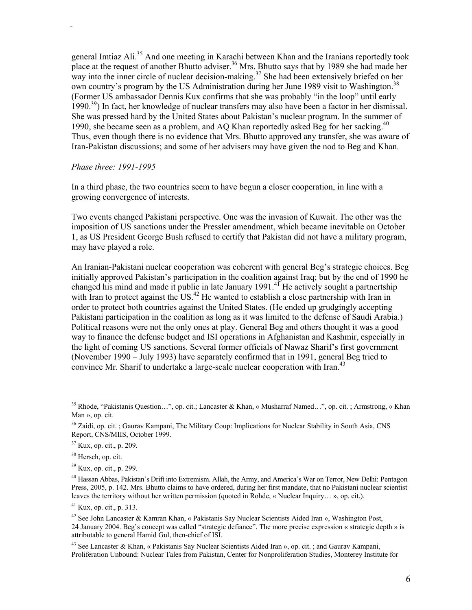general Imtiaz Ali.<sup>35</sup> And one meeting in Karachi between Khan and the Iranians reportedly took place at the request of another Bhutto adviser.<sup>36</sup> Mrs. Bhutto says that by 1989 she had made her way into the inner circle of nuclear decision-making.<sup>37</sup> She had been extensively briefed on her own country's program by the US Administration during her June 1989 visit to Washington.<sup>38</sup> (Former US ambassador Dennis Kux confirms that she was probably "in the loop" until early 1990.39) In fact, her knowledge of nuclear transfers may also have been a factor in her dismissal. She was pressed hard by the United States about Pakistan's nuclear program. In the summer of 1990, she became seen as a problem, and AQ Khan reportedly asked Beg for her sacking.<sup>40</sup> Thus, even though there is no evidence that Mrs. Bhutto approved any transfer, she was aware of Iran-Pakistan discussions; and some of her advisers may have given the nod to Beg and Khan.

#### *Phase three: 1991-1995*

In a third phase, the two countries seem to have begun a closer cooperation, in line with a growing convergence of interests.

Two events changed Pakistani perspective. One was the invasion of Kuwait. The other was the imposition of US sanctions under the Pressler amendment, which became inevitable on October 1, as US President George Bush refused to certify that Pakistan did not have a military program, may have played a role.

An Iranian-Pakistani nuclear cooperation was coherent with general Beg's strategic choices. Beg initially approved Pakistan's participation in the coalition against Iraq; but by the end of 1990 he changed his mind and made it public in late January  $1991<sup>4</sup>$  He actively sought a partnertship with Iran to protect against the US.<sup>42</sup> He wanted to establish a close partnership with Iran in order to protect both countries against the United States. (He ended up grudgingly accepting Pakistani participation in the coalition as long as it was limited to the defense of Saudi Arabia.) Political reasons were not the only ones at play. General Beg and others thought it was a good way to finance the defense budget and ISI operations in Afghanistan and Kashmir, especially in the light of coming US sanctions. Several former officials of Nawaz Sharif's first government (November 1990 – July 1993) have separately confirmed that in 1991, general Beg tried to convince Mr. Sharif to undertake a large-scale nuclear cooperation with Iran.<sup>43</sup>

<sup>35</sup> Rhode, "Pakistanis Question…", op. cit.; Lancaster & Khan, « Musharraf Named…", op. cit. ; Armstrong, « Khan Man », op. cit.

<sup>&</sup>lt;sup>36</sup> Zaidi, op. cit. ; Gaurav Kampani, The Military Coup: Implications for Nuclear Stability in South Asia, CNS Report, CNS/MIIS, October 1999.

<sup>37</sup> Kux, op. cit., p. 209.

<sup>&</sup>lt;sup>38</sup> Hersch, op. cit.

<sup>39</sup> Kux, op. cit., p. 299.

<sup>40</sup> Hassan Abbas, Pakistan's Drift into Extremism. Allah, the Army, and America's War on Terror, New Delhi: Pentagon Press, 2005, p. 142. Mrs. Bhutto claims to have ordered, during her first mandate, that no Pakistani nuclear scientist leaves the territory without her written permission (quoted in Rohde, « Nuclear Inquiry… », op. cit.).

<sup>41</sup> Kux, op. cit., p. 313.

<sup>42</sup> See John Lancaster & Kamran Khan, « Pakistanis Say Nuclear Scientists Aided Iran », Washington Post, 24 January 2004. Beg's concept was called "strategic defiance". The more precise expression « strategic depth » is attributable to general Hamid Gul, then-chief of ISI.

<sup>&</sup>lt;sup>43</sup> See Lancaster & Khan, « Pakistanis Say Nuclear Scientists Aided Iran », op. cit. ; and Gaurav Kampani, Proliferation Unbound: Nuclear Tales from Pakistan, Center for Nonproliferation Studies, Monterey Institute for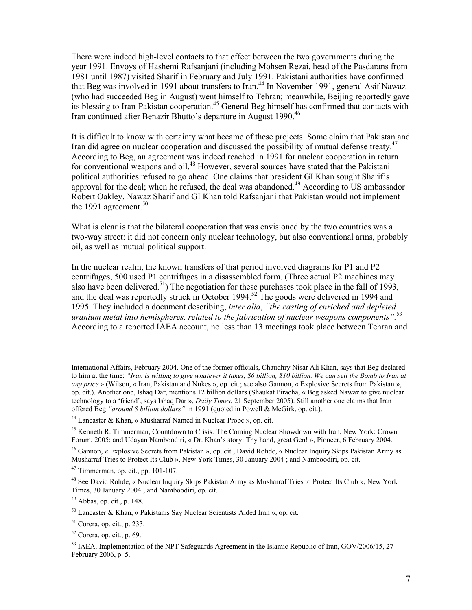There were indeed high-level contacts to that effect between the two governments during the year 1991. Envoys of Hashemi Rafsanjani (including Mohsen Rezai, head of the Pasdarans from 1981 until 1987) visited Sharif in February and July 1991. Pakistani authorities have confirmed that Beg was involved in 1991 about transfers to Iran.<sup>44</sup> In November 1991, general Asif Nawaz (who had succeeded Beg in August) went himself to Tehran; meanwhile, Beijing reportedly gave its blessing to Iran-Pakistan cooperation.<sup>45</sup> General Beg himself has confirmed that contacts with Iran continued after Benazir Bhutto's departure in August 1990.<sup>46</sup>

It is difficult to know with certainty what became of these projects. Some claim that Pakistan and Iran did agree on nuclear cooperation and discussed the possibility of mutual defense treaty.<sup>47</sup> According to Beg, an agreement was indeed reached in 1991 for nuclear cooperation in return for conventional weapons and oil.<sup>48</sup> However, several sources have stated that the Pakistani political authorities refused to go ahead. One claims that president GI Khan sought Sharif's approval for the deal; when he refused, the deal was abandoned.<sup>49</sup> According to US ambassador Robert Oakley, Nawaz Sharif and GI Khan told Rafsanjani that Pakistan would not implement the 1991 agreement.<sup>50</sup>

What is clear is that the bilateral cooperation that was envisioned by the two countries was a two-way street: it did not concern only nuclear technology, but also conventional arms, probably oil, as well as mutual political support.

In the nuclear realm, the known transfers of that period involved diagrams for P1 and P2 centrifuges, 500 used P1 centrifuges in a disassembled form. (Three actual P2 machines may also have been delivered.<sup>51</sup>) The negotiation for these purchases took place in the fall of 1993, and the deal was reportedly struck in October 1994.<sup>52</sup> The goods were delivered in 1994 and 1995. They included a document describing, *inter alia*, *"the casting of enriched and depleted uranium metal into hemispheres, related to the fabrication of nuclear weapons components".*<sup>53</sup> According to a reported IAEA account, no less than 13 meetings took place between Tehran and

 $49$  Abbas, op. cit., p. 148.

International Affairs, February 2004. One of the former officials, Chaudhry Nisar Ali Khan, says that Beg declared to him at the time: *"Iran is willing to give whatever it takes, \$6 billion, \$10 billion. We can sell the Bomb to Iran at any price »* (Wilson, « Iran, Pakistan and Nukes », op. cit.; see also Gannon, « Explosive Secrets from Pakistan », op. cit.). Another one, Ishaq Dar, mentions 12 billion dollars (Shaukat Piracha, « Beg asked Nawaz to give nuclear technology to a 'friend', says Ishaq Dar », *Daily Times*, 21 September 2005). Still another one claims that Iran offered Beg *"around 8 billion dollars"* in 1991 (quoted in Powell & McGirk, op. cit.).

<sup>44</sup> Lancaster & Khan, « Musharraf Named in Nuclear Probe », op. cit.

<sup>45</sup> Kenneth R. Timmerman, Countdown to Crisis. The Coming Nuclear Showdown with Iran, New York: Crown Forum, 2005; and Udayan Namboodiri, « Dr. Khan's story: Thy hand, great Gen! », Pioneer, 6 February 2004.

<sup>46</sup> Gannon, « Explosive Secrets from Pakistan », op. cit.; David Rohde, « Nuclear Inquiry Skips Pakistan Army as Musharraf Tries to Protect Its Club », New York Times, 30 January 2004 ; and Namboodiri, op. cit.

 $47$  Timmerman, op. cit., pp. 101-107.

<sup>&</sup>lt;sup>48</sup> See David Rohde, « Nuclear Inquiry Skips Pakistan Army as Musharraf Tries to Protect Its Club », New York Times, 30 January 2004 ; and Namboodiri, op. cit.

 $50$  Lancaster & Khan, « Pakistanis Say Nuclear Scientists Aided Iran », op. cit.

 $51$  Corera, op. cit., p. 233.

 $52$  Corera, op. cit., p. 69.

<sup>&</sup>lt;sup>53</sup> IAEA, Implementation of the NPT Safeguards Agreement in the Islamic Republic of Iran, GOV/2006/15, 27 February 2006, p. 5.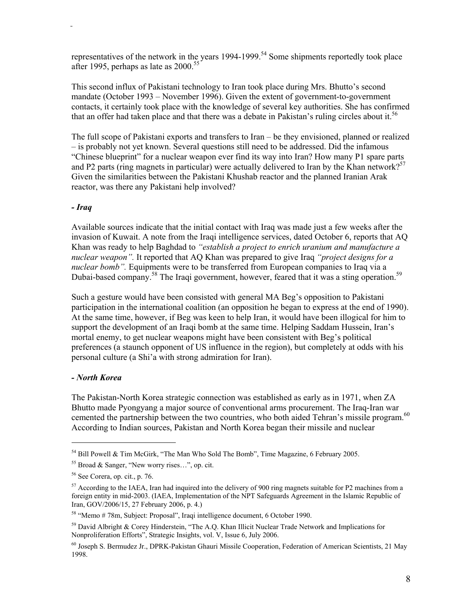representatives of the network in the years  $1994-1999$ .<sup>54</sup> Some shipments reportedly took place after 1995, perhaps as late as  $2000^{55}$ 

This second influx of Pakistani technology to Iran took place during Mrs. Bhutto's second mandate (October 1993 – November 1996). Given the extent of government-to-government contacts, it certainly took place with the knowledge of several key authorities. She has confirmed that an offer had taken place and that there was a debate in Pakistan's ruling circles about it.<sup>56</sup>

The full scope of Pakistani exports and transfers to Iran – be they envisioned, planned or realized – is probably not yet known. Several questions still need to be addressed. Did the infamous "Chinese blueprint" for a nuclear weapon ever find its way into Iran? How many P1 spare parts and P2 parts (ring magnets in particular) were actually delivered to Iran by the Khan network?<sup>57</sup> Given the similarities between the Pakistani Khushab reactor and the planned Iranian Arak reactor, was there any Pakistani help involved?

#### *- Iraq*

Available sources indicate that the initial contact with Iraq was made just a few weeks after the invasion of Kuwait. A note from the Iraqi intelligence services, dated October 6, reports that AQ Khan was ready to help Baghdad to *"establish a project to enrich uranium and manufacture a nuclear weapon".* It reported that AQ Khan was prepared to give Iraq *"project designs for a nuclear bomb".* Equipments were to be transferred from European companies to Iraq via a Dubai-based company.<sup>58</sup> The Iraqi government, however, feared that it was a sting operation.<sup>59</sup>

Such a gesture would have been consisted with general MA Beg's opposition to Pakistani participation in the international coalition (an opposition he began to express at the end of 1990). At the same time, however, if Beg was keen to help Iran, it would have been illogical for him to support the development of an Iraqi bomb at the same time. Helping Saddam Hussein, Iran's mortal enemy, to get nuclear weapons might have been consistent with Beg's political preferences (a staunch opponent of US influence in the region), but completely at odds with his personal culture (a Shi'a with strong admiration for Iran).

## *- North Korea*

The Pakistan-North Korea strategic connection was established as early as in 1971, when ZA Bhutto made Pyongyang a major source of conventional arms procurement. The Iraq-Iran war cemented the partnership between the two countries, who both aided Tehran's missile program.<sup>60</sup> According to Indian sources, Pakistan and North Korea began their missile and nuclear

<sup>&</sup>lt;sup>54</sup> Bill Powell & Tim McGirk, "The Man Who Sold The Bomb", Time Magazine, 6 February 2005.

<sup>55</sup> Broad & Sanger, "New worry rises…", op. cit.

<sup>56</sup> See Corera, op. cit., p. 76.

<sup>&</sup>lt;sup>57</sup> According to the IAEA, Iran had inquired into the delivery of 900 ring magnets suitable for P2 machines from a foreign entity in mid-2003. (IAEA, Implementation of the NPT Safeguards Agreement in the Islamic Republic of Iran, GOV/2006/15, 27 February 2006, p. 4.)

<sup>58 &</sup>quot;Memo # 78m, Subject: Proposal", Iraqi intelligence document, 6 October 1990.

<sup>&</sup>lt;sup>59</sup> David Albright & Corey Hinderstein, "The A.O. Khan Illicit Nuclear Trade Network and Implications for Nonproliferation Efforts", Strategic Insights, vol. V, Issue 6, July 2006.

<sup>60</sup> Joseph S. Bermudez Jr., DPRK-Pakistan Ghauri Missile Cooperation, Federation of American Scientists, 21 May 1998.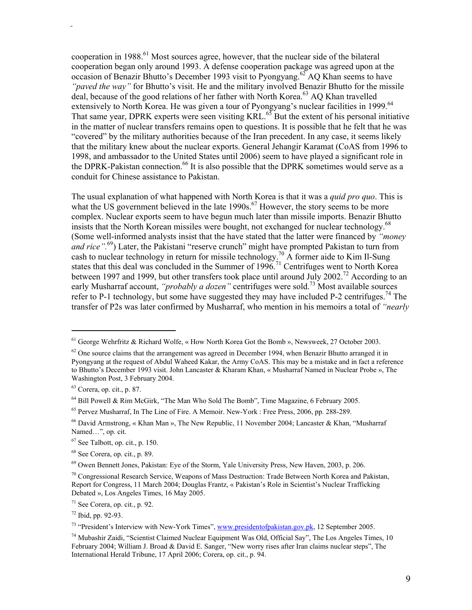cooperation in 1988.<sup>61</sup> Most sources agree, however, that the nuclear side of the bilateral cooperation began only around 1993. A defense cooperation package was agreed upon at the occasion of Benazir Bhutto's December 1993 visit to Pyongyang.<sup>62</sup> AQ Khan seems to have *"paved the way"* for Bhutto's visit. He and the military involved Benazir Bhutto for the missile deal, because of the good relations of her father with North Korea.<sup>63</sup> AQ Khan travelled extensively to North Korea. He was given a tour of Pyongyang's nuclear facilities in 1999.<sup>64</sup> That same year, DPRK experts were seen visiting KRL.<sup>65</sup> But the extent of his personal initiative in the matter of nuclear transfers remains open to questions. It is possible that he felt that he was "covered" by the military authorities because of the Iran precedent. In any case, it seems likely that the military knew about the nuclear exports. General Jehangir Karamat (CoAS from 1996 to 1998, and ambassador to the United States until 2006) seem to have played a significant role in the DPRK-Pakistan connection.<sup>66</sup> It is also possible that the DPRK sometimes would serve as a conduit for Chinese assistance to Pakistan.

The usual explanation of what happened with North Korea is that it was a *quid pro quo*. This is what the US government believed in the late 1990s.<sup>67</sup> However, the story seems to be more complex. Nuclear exports seem to have begun much later than missile imports. Benazir Bhutto insists that the North Korean missiles were bought, not exchanged for nuclear technology.<sup>68</sup> (Some well-informed analysts insist that the have stated that the latter were financed by *"money and rice*".<sup>69</sup>) Later, the Pakistani "reserve crunch" might have prompted Pakistan to turn from cash to nuclear technology in return for missile technology.<sup>70</sup> A former aide to Kim Il-Sung states that this deal was concluded in the Summer of  $1996<sup>71</sup>$  Centrifuges went to North Korea between 1997 and 1999, but other transfers took place until around July 2002.<sup>72</sup> According to an early Musharraf account, *"probably a dozen"* centrifuges were sold.73 Most available sources refer to P-1 technology, but some have suggested they may have included P-2 centrifuges.<sup>74</sup> The transfer of P2s was later confirmed by Musharraf, who mention in his memoirs a total of *"nearly* 

 $61$  George Wehrfritz & Richard Wolfe, « How North Korea Got the Bomb », Newsweek, 27 October 2003.

 $62$  One source claims that the arrangement was agreed in December 1994, when Benazir Bhutto arranged it in Pyongyang at the request of Abdul Waheed Kakar, the Army CoAS. This may be a mistake and in fact a reference to Bhutto's December 1993 visit. John Lancaster & Kharam Khan, « Musharraf Named in Nuclear Probe », The Washington Post, 3 February 2004.

<sup>63</sup> Corera, op. cit., p. 87.

<sup>&</sup>lt;sup>64</sup> Bill Powell & Rim McGirk, "The Man Who Sold The Bomb", Time Magazine, 6 February 2005.

<sup>65</sup> Pervez Musharraf, In The Line of Fire. A Memoir. New-York : Free Press, 2006, pp. 288-289.

<sup>&</sup>lt;sup>66</sup> David Armstrong, « Khan Man », The New Republic, 11 November 2004; Lancaster & Khan, "Musharraf" Named…", op. cit.

<sup>67</sup> See Talbott, op. cit., p. 150.

<sup>68</sup> See Corera, op. cit., p. 89.

<sup>69</sup> Owen Bennett Jones, Pakistan: Eye of the Storm, Yale University Press, New Haven, 2003, p. 206.

<sup>70</sup> Congressional Research Service, Weapons of Mass Destruction: Trade Between North Korea and Pakistan, Report for Congress, 11 March 2004; Douglas Frantz, « Pakistan's Role in Scientist's Nuclear Trafficking Debated », Los Angeles Times, 16 May 2005.

 $71$  See Corera, op. cit., p. 92.

<sup>72</sup> Ibid, pp. 92-93.

<sup>&</sup>lt;sup>73</sup> "President's Interview with New-York Times", www.presidentofpakistan.gov.pk, 12 September 2005.

<sup>74</sup> Mubashir Zaidi, "Scientist Claimed Nuclear Equipment Was Old, Official Say", The Los Angeles Times, 10 February 2004; William J. Broad & David E. Sanger, "New worry rises after Iran claims nuclear steps", The International Herald Tribune, 17 April 2006; Corera, op. cit., p. 94.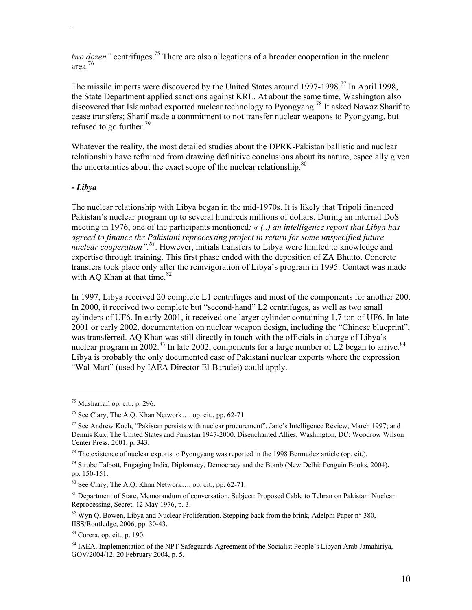*two dozen"* centrifuges.<sup>75</sup> There are also allegations of a broader cooperation in the nuclear area.76

The missile imports were discovered by the United States around 1997-1998.<sup>77</sup> In April 1998, the State Department applied sanctions against KRL. At about the same time, Washington also discovered that Islamabad exported nuclear technology to Pyongyang.<sup>78</sup> It asked Nawaz Sharif to cease transfers; Sharif made a commitment to not transfer nuclear weapons to Pyongyang, but refused to go further. $^{79}$ 

Whatever the reality, the most detailed studies about the DPRK-Pakistan ballistic and nuclear relationship have refrained from drawing definitive conclusions about its nature, especially given the uncertainties about the exact scope of the nuclear relationship. $80$ 

#### *- Libya*

The nuclear relationship with Libya began in the mid-1970s. It is likely that Tripoli financed Pakistan's nuclear program up to several hundreds millions of dollars. During an internal DoS meeting in 1976, one of the participants mentioned*: « (..) an intelligence report that Libya has agreed to finance the Pakistani reprocessing project in return for some unspecified future nuclear cooperation".<sup>81</sup>*. However, initials transfers to Libya were limited to knowledge and expertise through training. This first phase ended with the deposition of ZA Bhutto. Concrete transfers took place only after the reinvigoration of Libya's program in 1995. Contact was made with AO Khan at that time. $82$ 

In 1997, Libya received 20 complete L1 centrifuges and most of the components for another 200. In 2000, it received two complete but "second-hand" L2 centrifuges, as well as two small cylinders of UF6. In early 2001, it received one larger cylinder containing 1,7 ton of UF6. In late 2001 or early 2002, documentation on nuclear weapon design, including the "Chinese blueprint", was transferred. AQ Khan was still directly in touch with the officials in charge of Libya's nuclear program in 2002.<sup>83</sup> In late 2002, components for a large number of L<sub>2</sub> began to arrive.<sup>84</sup> Libya is probably the only documented case of Pakistani nuclear exports where the expression "Wal-Mart" (used by IAEA Director El-Baradei) could apply.

 $75$  Musharraf, op. cit., p. 296.

<sup>76</sup> See Clary, The A.Q. Khan Network…, op. cit., pp. 62-71.

<sup>&</sup>lt;sup>77</sup> See Andrew Koch, "Pakistan persists with nuclear procurement", Jane's Intelligence Review, March 1997; and Dennis Kux, The United States and Pakistan 1947-2000. Disenchanted Allies, Washington, DC: Woodrow Wilson Center Press, 2001, p. 343.

 $78$  The existence of nuclear exports to Pyongyang was reported in the 1998 Bermudez article (op. cit.).

<sup>79</sup> Strobe Talbott, Engaging India. Diplomacy, Democracy and the Bomb (New Delhi: Penguin Books, 2004)**,**  pp. 150-151.

 $80$  See Clary, The A.O. Khan Network..., op. cit., pp. 62-71.

<sup>&</sup>lt;sup>81</sup> Department of State, Memorandum of conversation, Subject: Proposed Cable to Tehran on Pakistani Nuclear Reprocessing, Secret, 12 May 1976, p. 3.

<sup>82</sup> Wyn Q. Bowen, Libya and Nuclear Proliferation. Stepping back from the brink, Adelphi Paper n° 380, IISS/Routledge, 2006, pp. 30-43.

<sup>83</sup> Corera, op. cit., p. 190.

<sup>&</sup>lt;sup>84</sup> IAEA, Implementation of the NPT Safeguards Agreement of the Socialist People's Libyan Arab Jamahiriya, GOV/2004/12, 20 February 2004, p. 5.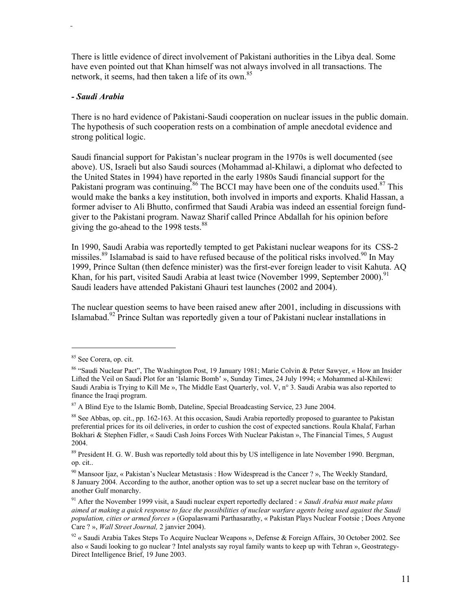There is little evidence of direct involvement of Pakistani authorities in the Libya deal. Some have even pointed out that Khan himself was not always involved in all transactions. The network, it seems, had then taken a life of its own.<sup>85</sup>

#### *- Saudi Arabia*

There is no hard evidence of Pakistani-Saudi cooperation on nuclear issues in the public domain. The hypothesis of such cooperation rests on a combination of ample anecdotal evidence and strong political logic.

Saudi financial support for Pakistan's nuclear program in the 1970s is well documented (see above). US, Israeli but also Saudi sources (Mohammad al-Khilawi, a diplomat who defected to the United States in 1994) have reported in the early 1980s Saudi financial support for the Pakistani program was continuing.<sup>86</sup> The BCCI may have been one of the conduits used.<sup>87</sup> This would make the banks a key institution, both involved in imports and exports. Khalid Hassan, a former adviser to Ali Bhutto, confirmed that Saudi Arabia was indeed an essential foreign fundgiver to the Pakistani program. Nawaz Sharif called Prince Abdallah for his opinion before giving the go-ahead to the 1998 tests.<sup>88</sup>

In 1990, Saudi Arabia was reportedly tempted to get Pakistani nuclear weapons for its CSS-2 missiles.<sup>89</sup> Islamabad is said to have refused because of the political risks involved.<sup>90</sup> In May 1999, Prince Sultan (then defence minister) was the first-ever foreign leader to visit Kahuta. AQ Khan, for his part, visited Saudi Arabia at least twice (November 1999, September 2000).<sup>91</sup> Saudi leaders have attended Pakistani Ghauri test launches (2002 and 2004).

The nuclear question seems to have been raised anew after 2001, including in discussions with Islamabad.92 Prince Sultan was reportedly given a tour of Pakistani nuclear installations in

<sup>85</sup> See Corera, op. cit.

<sup>&</sup>lt;sup>86</sup> "Saudi Nuclear Pact", The Washington Post, 19 January 1981; Marie Colvin & Peter Sawyer, « How an Insider Lifted the Veil on Saudi Plot for an 'Islamic Bomb' », Sunday Times, 24 July 1994; « Mohammed al-Khilewi: Saudi Arabia is Trying to Kill Me », The Middle East Quarterly, vol. V, n° 3. Saudi Arabia was also reported to finance the Iraqi program.

<sup>&</sup>lt;sup>87</sup> A Blind Eye to the Islamic Bomb, Dateline, Special Broadcasting Service, 23 June 2004.

<sup>&</sup>lt;sup>88</sup> See Abbas, op. cit., pp. 162-163. At this occasion, Saudi Arabia reportedly proposed to guarantee to Pakistan preferential prices for its oil deliveries, in order to cushion the cost of expected sanctions. Roula Khalaf, Farhan Bokhari & Stephen Fidler, « Saudi Cash Joins Forces With Nuclear Pakistan », The Financial Times, 5 August 2004.

<sup>&</sup>lt;sup>89</sup> President H. G. W. Bush was reportedly told about this by US intelligence in late November 1990. Bergman, op. cit..

<sup>&</sup>lt;sup>90</sup> Mansoor Ijaz, « Pakistan's Nuclear Metastasis : How Widespread is the Cancer ? », The Weekly Standard, 8 January 2004. According to the author, another option was to set up a secret nuclear base on the territory of another Gulf monarchy.

<sup>91</sup> After the November 1999 visit, a Saudi nuclear expert reportedly declared : *« Saudi Arabia must make plans aimed at making a quick response to face the possibilities of nuclear warfare agents being used against the Saudi population, cities or armed forces »* (Gopalaswami Parthasarathy, « Pakistan Plays Nuclear Footsie ; Does Anyone Care ? », *Wall Street Journal,* 2 janvier 2004).

<sup>92 «</sup> Saudi Arabia Takes Steps To Acquire Nuclear Weapons », Defense & Foreign Affairs, 30 October 2002. See also « Saudi looking to go nuclear ? Intel analysts say royal family wants to keep up with Tehran », Geostrategy-Direct Intelligence Brief, 19 June 2003.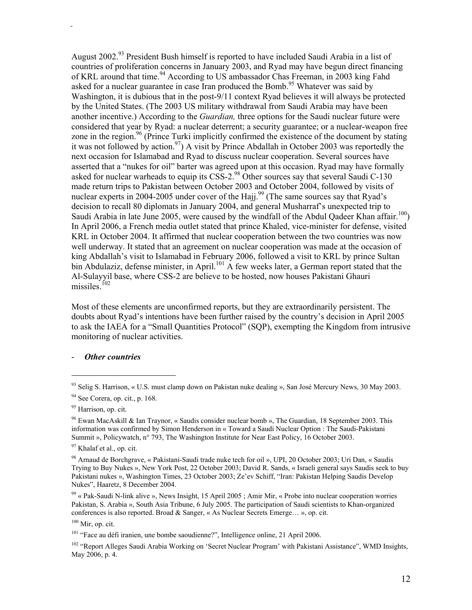August 2002.<sup>93</sup> President Bush himself is reported to have included Saudi Arabia in a list of countries of proliferation concerns in January 2003, and Ryad may have begun direct financing of KRL around that time.<sup>94</sup> According to US ambassador Chas Freeman, in 2003 king Fahd asked for a nuclear guarantee in case Iran produced the Bomb.<sup>95</sup> Whatever was said by Washington, it is dubious that in the post-9/11 context Ryad believes it will always be protected by the United States. (The 2003 US military withdrawal from Saudi Arabia may have been another incentive.) According to the *Guardian,* three options for the Saudi nuclear future were considered that year by Ryad: a nuclear deterrent; a security guarantee; or a nuclear-weapon free zone in the region.<sup>96</sup> (Prince Turki implicitly confirmed the existence of the document by stating it was not followed by action.<sup>97</sup>) A visit by Prince Abdallah in October 2003 was reportedly the next occasion for Islamabad and Ryad to discuss nuclear cooperation. Several sources have asserted that a "nukes for oil" barter was agreed upon at this occasion. Ryad may have formally asked for nuclear warheads to equip its CSS-2.<sup>98</sup> Other sources say that several Saudi C-130 made return trips to Pakistan between October 2003 and October 2004, followed by visits of nuclear experts in 2004-2005 under cover of the Hajj.<sup>99</sup> (The same sources say that Ryad's decision to recall 80 diplomats in January 2004, and general Musharraf's unexpected trip to Saudi Arabia in late June 2005, were caused by the windfall of the Abdul Qadeer Khan affair.<sup>100</sup>) In April 2006, a French media outlet stated that prince Khaled, vice-minister for defense, visited KRL in October 2004. It affirmed that nuclear cooperation between the two countries was now well underway. It stated that an agreement on nuclear cooperation was made at the occasion of king Abdallah's visit to Islamabad in February 2006, followed a visit to KRL by prince Sultan bin Abdulaziz, defense minister, in April.<sup>101</sup> A few weeks later, a German report stated that the Al-Sulayyil base, where CSS-2 are believe to be hosted, now houses Pakistani Ghauri missiles. $102$ 

Most of these elements are unconfirmed reports, but they are extraordinarily persistent. The doubts about Ryad's intentions have been further raised by the country's decision in April 2005 to ask the IAEA for a "Small Quantities Protocol" (SQP), exempting the Kingdom from intrusive monitoring of nuclear activities.

#### **Other countries**

<sup>93</sup> Selig S. Harrison, « U.S. must clamp down on Pakistan nuke dealing », San José Mercury News, 30 May 2003.

<sup>&</sup>lt;sup>94</sup> See Corera, op. cit., p. 168.

<sup>&</sup>lt;sup>95</sup> Harrison, op. cit.

<sup>96</sup> Ewan MacAskill & Ian Traynor, « Saudis consider nuclear bomb », The Guardian, 18 September 2003. This information was confirmed by Simon Henderson in « Toward a Saudi Nuclear Option : The Saudi-Pakistani Summit », Policywatch,  $n^{\circ}$  793, The Washington Institute for Near East Policy, 16 October 2003.

<sup>&</sup>lt;sup>97</sup> Khalaf et al., op. cit.

<sup>98</sup> Arnaud de Borchgrave, « Pakistani-Saudi trade nuke tech for oil », UPI, 20 October 2003; Uri Dan, « Saudis Trying to Buy Nukes », New York Post, 22 October 2003; David R. Sands, « Israeli general says Saudis seek to buy Pakistani nukes », Washington Times, 23 October 2003; Ze'ev Schiff, "Iran: Pakistan Helping Saudis Develop Nukes", Haaretz, 8 December 2004.

<sup>&</sup>lt;sup>99</sup> « Pak-Saudi N-link alive », News Insight, 15 April 2005; Amir Mir, « Probe into nuclear cooperation worries Pakistan, S. Arabia », South Asia Tribune, 6 July 2005. The participation of Saudi scientists to Khan-organized conferences is also reported. Broad & Sanger, « As Nuclear Secrets Emerge… », op. cit.

 $100$  Mir, op. cit.

<sup>101 &</sup>quot;Face au défi iranien, une bombe saoudienne?", Intelligence online, 21 April 2006.

<sup>&</sup>lt;sup>102</sup> "Report Alleges Saudi Arabia Working on 'Secret Nuclear Program' with Pakistani Assistance", WMD Insights, May 2006, p. 4.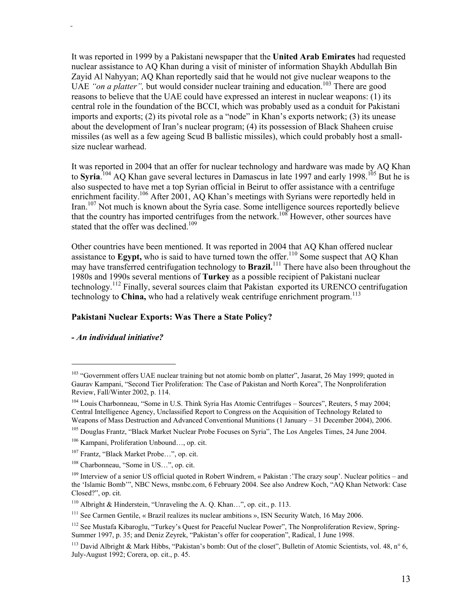It was reported in 1999 by a Pakistani newspaper that the **United Arab Emirates** had requested nuclear assistance to AQ Khan during a visit of minister of information Shaykh Abdullah Bin Zayid Al Nahyyan; AQ Khan reportedly said that he would not give nuclear weapons to the UAE "*on a platter*", but would consider nuclear training and education.<sup>103</sup> There are good reasons to believe that the UAE could have expressed an interest in nuclear weapons: (1) its central role in the foundation of the BCCI, which was probably used as a conduit for Pakistani imports and exports; (2) its pivotal role as a "node" in Khan's exports network; (3) its unease about the development of Iran's nuclear program; (4) its possession of Black Shaheen cruise missiles (as well as a few ageing Scud B ballistic missiles), which could probably host a smallsize nuclear warhead.

It was reported in 2004 that an offer for nuclear technology and hardware was made by AQ Khan to Syria.<sup>104</sup> AQ Khan gave several lectures in Damascus in late 1997 and early 1998.<sup>105</sup> But he is also suspected to have met a top Syrian official in Beirut to offer assistance with a centrifuge enrichment facility.<sup>106</sup> After 2001, AO Khan's meetings with Syrians were reportedly held in Iran.107 Not much is known about the Syria case. Some intelligence sources reportedly believe that the country has imported centrifuges from the network.<sup>108</sup> However, other sources have stated that the offer was declined<sup>109</sup>

Other countries have been mentioned. It was reported in 2004 that AQ Khan offered nuclear assistance to **Egypt**, who is said to have turned town the offer.<sup>110</sup> Some suspect that AQ Khan may have transferred centrifugation technology to **Brazil.**<sup>111</sup> There have also been throughout the 1980s and 1990s several mentions of **Turkey** as a possible recipient of Pakistani nuclear technology.112 Finally, several sources claim that Pakistan exported its URENCO centrifugation technology to **China,** who had a relatively weak centrifuge enrichment program.<sup>113</sup>

#### **Pakistani Nuclear Exports: Was There a State Policy?**

#### *- An individual initiative?*

<sup>&</sup>lt;sup>103</sup> "Government offers UAE nuclear training but not atomic bomb on platter", Jasarat, 26 May 1999; quoted in Gaurav Kampani, "Second Tier Proliferation: The Case of Pakistan and North Korea", The Nonproliferation Review, Fall/Winter 2002, p. 114.

<sup>104</sup> Louis Charbonneau, "Some in U.S. Think Syria Has Atomic Centrifuges – Sources", Reuters, 5 may 2004; Central Intelligence Agency, Unclassified Report to Congress on the Acquisition of Technology Related to Weapons of Mass Destruction and Advanced Conventional Munitions (1 January – 31 December 2004), 2006.

<sup>&</sup>lt;sup>105</sup> Douglas Frantz, "Black Market Nuclear Probe Focuses on Syria", The Los Angeles Times, 24 June 2004.

<sup>106</sup> Kampani, Proliferation Unbound…, op. cit.

<sup>107</sup> Frantz, "Black Market Probe…", op. cit.

<sup>108</sup> Charbonneau, "Some in US…", op. cit.

<sup>&</sup>lt;sup>109</sup> Interview of a senior US official quoted in Robert Windrem, « Pakistan : The crazy soup'. Nuclear politics – and the 'Islamic Bomb'", NBC News, msnbc.com, 6 February 2004. See also Andrew Koch, "AQ Khan Network: Case Closed?", op. cit.

<sup>110</sup> Albright & Hinderstein, "Unraveling the A. Q. Khan…", op. cit., p. 113.

<sup>&</sup>lt;sup>111</sup> See Carmen Gentile, « Brazil realizes its nuclear ambitions », ISN Security Watch, 16 May 2006.

<sup>&</sup>lt;sup>112</sup> See Mustafa Kibaroglu, "Turkey's Quest for Peaceful Nuclear Power", The Nonproliferation Review, Spring-Summer 1997, p. 35; and Deniz Zeyrek, "Pakistan's offer for cooperation", Radical, 1 June 1998.

<sup>&</sup>lt;sup>113</sup> David Albright & Mark Hibbs, "Pakistan's bomb: Out of the closet", Bulletin of Atomic Scientists, vol. 48, n° 6, July-August 1992; Corera, op. cit., p. 45.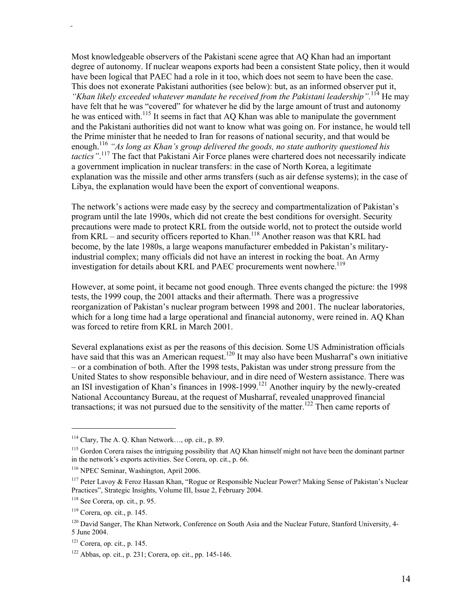Most knowledgeable observers of the Pakistani scene agree that AQ Khan had an important degree of autonomy. If nuclear weapons exports had been a consistent State policy, then it would have been logical that PAEC had a role in it too, which does not seem to have been the case. This does not exonerate Pakistani authorities (see below): but, as an informed observer put it, *"Khan likely exceeded whatever mandate he received from the Pakistani leadership".*<sup>114</sup> He may have felt that he was "covered" for whatever he did by the large amount of trust and autonomy he was enticed with.<sup>115</sup> It seems in fact that AQ Khan was able to manipulate the government and the Pakistani authorities did not want to know what was going on. For instance, he would tell the Prime minister that he needed to Iran for reasons of national security, and that would be enough.<sup>116</sup> "As long as Khan's group delivered the goods, no state authority questioned his *tactics"*. 117 The fact that Pakistani Air Force planes were chartered does not necessarily indicate a government implication in nuclear transfers: in the case of North Korea, a legitimate explanation was the missile and other arms transfers (such as air defense systems); in the case of Libya, the explanation would have been the export of conventional weapons.

The network's actions were made easy by the secrecy and compartmentalization of Pakistan's program until the late 1990s, which did not create the best conditions for oversight. Security precautions were made to protect KRL from the outside world, not to protect the outside world from KRL – and security officers reported to Khan.<sup>118</sup> Another reason was that KRL had become, by the late 1980s, a large weapons manufacturer embedded in Pakistan's militaryindustrial complex; many officials did not have an interest in rocking the boat. An Army investigation for details about KRL and PAEC procurements went nowhere.<sup>119</sup>

However, at some point, it became not good enough. Three events changed the picture: the 1998 tests, the 1999 coup, the 2001 attacks and their aftermath. There was a progressive reorganization of Pakistan's nuclear program between 1998 and 2001. The nuclear laboratories, which for a long time had a large operational and financial autonomy, were reined in. AO Khan was forced to retire from KRL in March 2001.

Several explanations exist as per the reasons of this decision. Some US Administration officials have said that this was an American request.<sup>120</sup> It may also have been Musharraf's own initiative – or a combination of both. After the 1998 tests, Pakistan was under strong pressure from the United States to show responsible behaviour, and in dire need of Western assistance. There was an ISI investigation of Khan's finances in 1998-1999.<sup>121</sup> Another inquiry by the newly-created National Accountancy Bureau, at the request of Musharraf, revealed unapproved financial transactions; it was not pursued due to the sensitivity of the matter.<sup>122</sup> Then came reports of

<sup>114</sup> Clary, The A. Q. Khan Network…, op. cit., p. 89.

<sup>&</sup>lt;sup>115</sup> Gordon Corera raises the intriguing possibility that AQ Khan himself might not have been the dominant partner in the network's exports activities. See Corera, op. cit., p. 66.

<sup>116</sup> NPEC Seminar, Washington, April 2006.

<sup>117</sup> Peter Lavoy & Feroz Hassan Khan, "Rogue or Responsible Nuclear Power? Making Sense of Pakistan's Nuclear Practices", Strategic Insights, Volume III, Issue 2, February 2004.

 $118$  See Corera, op. cit., p. 95.

<sup>119</sup> Corera, op. cit., p. 145.

<sup>&</sup>lt;sup>120</sup> David Sanger, The Khan Network, Conference on South Asia and the Nuclear Future, Stanford University, 4-5 June 2004.

 $121$  Corera, op. cit., p. 145.

<sup>122</sup> Abbas, op. cit., p. 231; Corera, op. cit., pp. 145-146.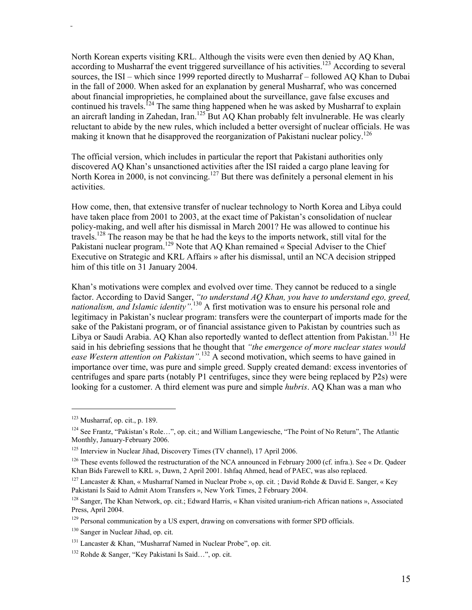North Korean experts visiting KRL. Although the visits were even then denied by AQ Khan, according to Musharraf the event triggered surveillance of his activities.<sup>123</sup> According to several sources, the ISI – which since 1999 reported directly to Musharraf – followed AQ Khan to Dubai in the fall of 2000. When asked for an explanation by general Musharraf, who was concerned about financial improprieties, he complained about the surveillance, gave false excuses and continued his travels.<sup>124</sup> The same thing happened when he was asked by Musharraf to explain an aircraft landing in Zahedan, Iran.<sup>125</sup> But AQ Khan probably felt invulnerable. He was clearly reluctant to abide by the new rules, which included a better oversight of nuclear officials. He was making it known that he disapproved the reorganization of Pakistani nuclear policy.<sup>126</sup>

The official version, which includes in particular the report that Pakistani authorities only discovered AQ Khan's unsanctioned activities after the ISI raided a cargo plane leaving for North Korea in 2000, is not convincing.<sup>127</sup> But there was definitely a personal element in his activities.

How come, then, that extensive transfer of nuclear technology to North Korea and Libya could have taken place from 2001 to 2003, at the exact time of Pakistan's consolidation of nuclear policy-making, and well after his dismissal in March 2001? He was allowed to continue his travels.<sup>128</sup> The reason may be that he had the keys to the imports network, still vital for the Pakistani nuclear program.<sup>129</sup> Note that AQ Khan remained « Special Adviser to the Chief Executive on Strategic and KRL Affairs » after his dismissal, until an NCA decision stripped him of this title on 31 January 2004.

Khan's motivations were complex and evolved over time. They cannot be reduced to a single factor. According to David Sanger, *"to understand AQ Khan, you have to understand ego, greed, nationalism, and Islamic identity".*130 A first motivation was to ensure his personal role and legitimacy in Pakistan's nuclear program: transfers were the counterpart of imports made for the sake of the Pakistani program, or of financial assistance given to Pakistan by countries such as Libya or Saudi Arabia. AQ Khan also reportedly wanted to deflect attention from Pakistan.<sup>131</sup> He said in his debriefing sessions that he thought that *"the emergence of more nuclear states would ease Western attention on Pakistan".*132 A second motivation, which seems to have gained in importance over time, was pure and simple greed. Supply created demand: excess inventories of centrifuges and spare parts (notably P1 centrifuges, since they were being replaced by P2s) were looking for a customer. A third element was pure and simple *hubris*. AQ Khan was a man who

 $123$  Musharraf, op. cit., p. 189.

<sup>124</sup> See Frantz, "Pakistan's Role…", op. cit.; and William Langewiesche, "The Point of No Return", The Atlantic Monthly, January-February 2006.

<sup>&</sup>lt;sup>125</sup> Interview in Nuclear Jihad, Discovery Times (TV channel), 17 April 2006.

<sup>&</sup>lt;sup>126</sup> These events followed the restructuration of the NCA announced in February 2000 (cf. infra.). See « Dr. Qadeer Khan Bids Farewell to KRL », Dawn, 2 April 2001. Ishfaq Ahmed, head of PAEC, was also replaced.

<sup>&</sup>lt;sup>127</sup> Lancaster & Khan, « Musharraf Named in Nuclear Probe », op. cit. ; David Rohde & David E. Sanger, « Key Pakistani Is Said to Admit Atom Transfers », New York Times, 2 February 2004.

<sup>128</sup> Sanger, The Khan Network, op. cit.; Edward Harris, « Khan visited uranium-rich African nations », Associated Press, April 2004.

<sup>&</sup>lt;sup>129</sup> Personal communication by a US expert, drawing on conversations with former SPD officials.

<sup>130</sup> Sanger in Nuclear Jihad, op. cit.

<sup>131</sup> Lancaster & Khan, "Musharraf Named in Nuclear Probe", op. cit.

<sup>132</sup> Rohde & Sanger, "Key Pakistani Is Said…", op. cit.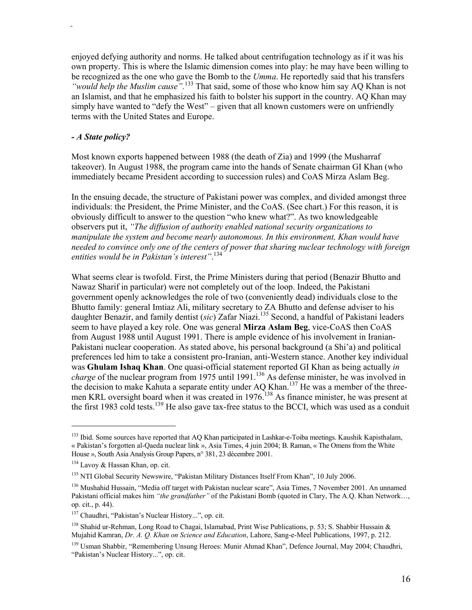enjoyed defying authority and norms. He talked about centrifugation technology as if it was his own property. This is where the Islamic dimension comes into play: he may have been willing to be recognized as the one who gave the Bomb to the *Umma*. He reportedly said that his transfers *"would help the Muslim cause".*<sup>133</sup> That said, some of those who know him say AQ Khan is not an Islamist, and that he emphasized his faith to bolster his support in the country. AQ Khan may simply have wanted to "defy the West" – given that all known customers were on unfriendly terms with the United States and Europe.

#### *- A State policy?*

Most known exports happened between 1988 (the death of Zia) and 1999 (the Musharraf takeover). In August 1988, the program came into the hands of Senate chairman GI Khan (who immediately became President according to succession rules) and CoAS Mirza Aslam Beg.

In the ensuing decade, the structure of Pakistani power was complex, and divided amongst three individuals: the President, the Prime Minister, and the CoAS. (See chart.) For this reason, it is obviously difficult to answer to the question "who knew what?". As two knowledgeable observers put it, *"The diffusion of authority enabled national security organizations to manipulate the system and become nearly autonomous. In this environment, Khan would have needed to convince only one of the centers of power that sharing nuclear technology with foreign entities would be in Pakistan's interest"*. 134

What seems clear is twofold. First, the Prime Ministers during that period (Benazir Bhutto and Nawaz Sharif in particular) were not completely out of the loop. Indeed, the Pakistani government openly acknowledges the role of two (conveniently dead) individuals close to the Bhutto family: general Imtiaz Ali, military secretary to ZA Bhutto and defense adviser to his daughter Benazir, and family dentist (*sic*) Zafar Niazi.<sup>135</sup> Second, a handful of Pakistani leaders seem to have played a key role. One was general **Mirza Aslam Beg**, vice-CoAS then CoAS from August 1988 until August 1991. There is ample evidence of his involvement in Iranian-Pakistani nuclear cooperation. As stated above, his personal background (a Shi'a) and political preferences led him to take a consistent pro-Iranian, anti-Western stance. Another key individual was **Ghulam Ishaq Khan**. One quasi-official statement reported GI Khan as being actually *in charge* of the nuclear program from 1975 until 1991.<sup>136</sup> As defense minister, he was involved in the decision to make Kahuta a separate entity under AQ Khan.<sup>137</sup> He was a member of the threemen KRL oversight board when it was created in 1976.<sup>138</sup> As finance minister, he was present at the first 1983 cold tests.<sup>139</sup> He also gave tax-free status to the BCCI, which was used as a conduit

<sup>&</sup>lt;sup>133</sup> Ibid. Some sources have reported that AQ Khan participated in Lashkar-e-Toiba meetings. Kaushik Kapisthalam, « Pakistan's forgotten al-Qaeda nuclear link », Asia Times, 4 juin 2004; B. Raman, « The Omens from the White House », South Asia Analysis Group Papers, n° 381, 23 décembre 2001.

<sup>&</sup>lt;sup>134</sup> Lavoy & Hassan Khan, op. cit.

<sup>&</sup>lt;sup>135</sup> NTI Global Security Newswire, "Pakistan Military Distances Itself From Khan", 10 July 2006.

<sup>136</sup> Mushahid Hussain, "Media off target with Pakistan nuclear scare", Asia Times, 7 November 2001. An unnamed Pakistani official makes him *"the grandfather"* of the Pakistani Bomb (quoted in Clary, The A.Q. Khan Network…, op. cit., p. 44).

<sup>&</sup>lt;sup>137</sup> Chaudhri, "Pakistan's Nuclear History...", op. cit.

<sup>&</sup>lt;sup>138</sup> Shahid ur-Rehman, Long Road to Chagai, Islamabad, Print Wise Publications, p. 53; S. Shabbir Hussain & Mujahid Kamran, *Dr. A. Q. Khan on Science and Education*, Lahore, Sang-e-Meel Publications, 1997, p. 212.

<sup>&</sup>lt;sup>139</sup> Usman Shabbir, "Remembering Unsung Heroes: Munir Ahmad Khan", Defence Journal, May 2004; Chaudhri, "Pakistan's Nuclear History...", op. cit.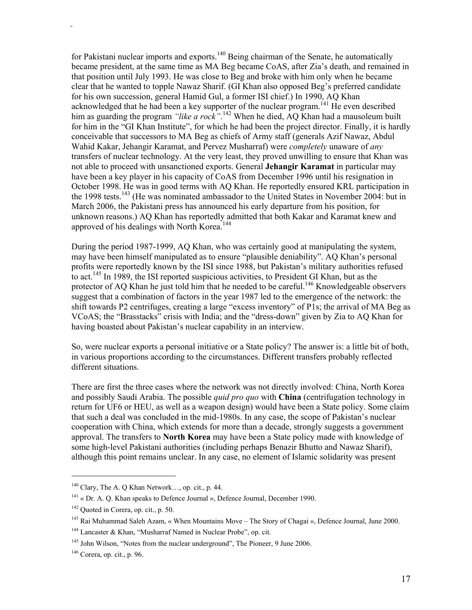for Pakistani nuclear imports and exports.<sup>140</sup> Being chairman of the Senate, he automatically became president, at the same time as MA Beg became CoAS, after Zia's death, and remained in that position until July 1993. He was close to Beg and broke with him only when he became clear that he wanted to topple Nawaz Sharif. (GI Khan also opposed Beg's preferred candidate for his own succession, general Hamid Gul, a former ISI chief.) In 1990, AQ Khan acknowledged that he had been a key supporter of the nuclear program.<sup>141</sup> He even described him as guarding the program *"like a rock"*. 142 When he died, AQ Khan had a mausoleum built for him in the "GI Khan Institute", for which he had been the project director. Finally, it is hardly conceivable that successors to MA Beg as chiefs of Army staff (generals Azif Nawaz, Abdul Wahid Kakar, Jehangir Karamat, and Pervez Musharraf) were *completely* unaware of *any*  transfers of nuclear technology. At the very least, they proved unwilling to ensure that Khan was not able to proceed with unsanctioned exports. General **Jehangir Karamat** in particular may have been a key player in his capacity of CoAS from December 1996 until his resignation in October 1998. He was in good terms with AQ Khan. He reportedly ensured KRL participation in the 1998 tests.<sup>143</sup> (He was nominated ambassador to the United States in November 2004: but in March 2006, the Pakistani press has announced his early departure from his position, for unknown reasons.) AQ Khan has reportedly admitted that both Kakar and Karamat knew and approved of his dealings with North Korea.<sup>144</sup>

During the period 1987-1999, AQ Khan, who was certainly good at manipulating the system, may have been himself manipulated as to ensure "plausible deniability". AQ Khan's personal profits were reportedly known by the ISI since 1988, but Pakistan's military authorities refused to act.145 In 1989, the ISI reported suspicious activities, to President GI Khan, but as the protector of AQ Khan he just told him that he needed to be careful.<sup>146</sup> Knowledgeable observers suggest that a combination of factors in the year 1987 led to the emergence of the network: the shift towards P2 centrifuges, creating a large "excess inventory" of P1s; the arrival of MA Beg as VCoAS; the "Brasstacks" crisis with India; and the "dress-down" given by Zia to AQ Khan for having boasted about Pakistan's nuclear capability in an interview.

So, were nuclear exports a personal initiative or a State policy? The answer is: a little bit of both, in various proportions according to the circumstances. Different transfers probably reflected different situations.

There are first the three cases where the network was not directly involved: China, North Korea and possibly Saudi Arabia. The possible *quid pro quo* with **China** (centrifugation technology in return for UF6 or HEU, as well as a weapon design) would have been a State policy. Some claim that such a deal was concluded in the mid-1980s. In any case, the scope of Pakistan's nuclear cooperation with China, which extends for more than a decade, strongly suggests a government approval. The transfers to **North Korea** may have been a State policy made with knowledge of some high-level Pakistani authorities (including perhaps Benazir Bhutto and Nawaz Sharif), although this point remains unclear. In any case, no element of Islamic solidarity was present

 $140$  Clary, The A. Q Khan Network..., op. cit., p. 44.

<sup>&</sup>lt;sup>141</sup> « Dr. A. Q. Khan speaks to Defence Journal », Defence Journal, December 1990.

<sup>&</sup>lt;sup>142</sup> Quoted in Corera, op. cit., p. 50.

<sup>&</sup>lt;sup>143</sup> Rai Muhammad Saleh Azam, « When Mountains Move – The Story of Chagai », Defence Journal, June 2000.

<sup>144</sup> Lancaster & Khan, "Musharraf Named in Nuclear Probe", op. cit.

<sup>&</sup>lt;sup>145</sup> John Wilson, "Notes from the nuclear underground", The Pioneer, 9 June 2006.

 $146$  Corera, op. cit., p. 96.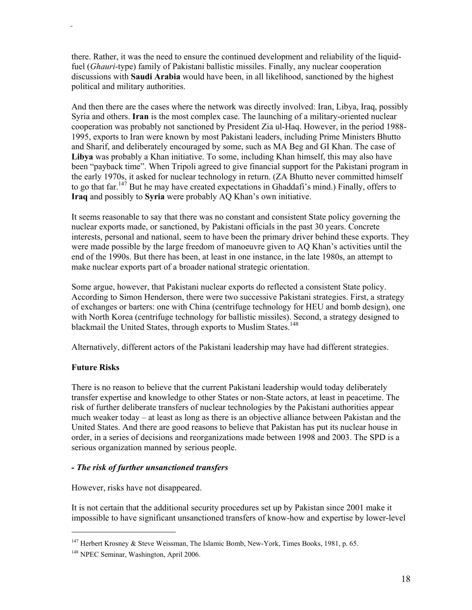there. Rather, it was the need to ensure the continued development and reliability of the liquidfuel (*Ghauri*-type) family of Pakistani ballistic missiles. Finally, any nuclear cooperation discussions with **Saudi Arabia** would have been, in all likelihood, sanctioned by the highest political and military authorities.

And then there are the cases where the network was directly involved: Iran, Libya, Iraq, possibly Syria and others. **Iran** is the most complex case. The launching of a military-oriented nuclear cooperation was probably not sanctioned by President Zia ul-Haq. However, in the period 1988- 1995, exports to Iran were known by most Pakistani leaders, including Prime Ministers Bhutto and Sharif, and deliberately encouraged by some, such as MA Beg and GI Khan. The case of **Libya** was probably a Khan initiative. To some, including Khan himself, this may also have been "payback time". When Tripoli agreed to give financial support for the Pakistani program in the early 1970s, it asked for nuclear technology in return. (ZA Bhutto never committed himself to go that far.<sup>147</sup> But he may have created expectations in Ghaddafi's mind.) Finally, offers to **Iraq** and possibly to **Syria** were probably AQ Khan's own initiative.

It seems reasonable to say that there was no constant and consistent State policy governing the nuclear exports made, or sanctioned, by Pakistani officials in the past 30 years. Concrete interests, personal and national, seem to have been the primary driver behind these exports. They were made possible by the large freedom of manoeuvre given to AQ Khan's activities until the end of the 1990s. But there has been, at least in one instance, in the late 1980s, an attempt to make nuclear exports part of a broader national strategic orientation.

Some argue, however, that Pakistani nuclear exports do reflected a consistent State policy. According to Simon Henderson, there were two successive Pakistani strategies. First, a strategy of exchanges or barters: one with China (centrifuge technology for HEU and bomb design), one with North Korea (centrifuge technology for ballistic missiles). Second, a strategy designed to blackmail the United States, through exports to Muslim States.<sup>148</sup>

Alternatively, different actors of the Pakistani leadership may have had different strategies.

# **Future Risks**

 $\overline{a}$ 

There is no reason to believe that the current Pakistani leadership would today deliberately transfer expertise and knowledge to other States or non-State actors, at least in peacetime. The risk of further deliberate transfers of nuclear technologies by the Pakistani authorities appear much weaker today – at least as long as there is an objective alliance between Pakistan and the United States. And there are good reasons to believe that Pakistan has put its nuclear house in order, in a series of decisions and reorganizations made between 1998 and 2003. The SPD is a serious organization manned by serious people.

# *- The risk of further unsanctioned transfers*

However, risks have not disappeared.

It is not certain that the additional security procedures set up by Pakistan since 2001 make it impossible to have significant unsanctioned transfers of know-how and expertise by lower-level

<sup>&</sup>lt;sup>147</sup> Herbert Krosney & Steve Weissman, The Islamic Bomb, New-York, Times Books, 1981, p. 65.

<sup>&</sup>lt;sup>148</sup> NPEC Seminar, Washington, April 2006.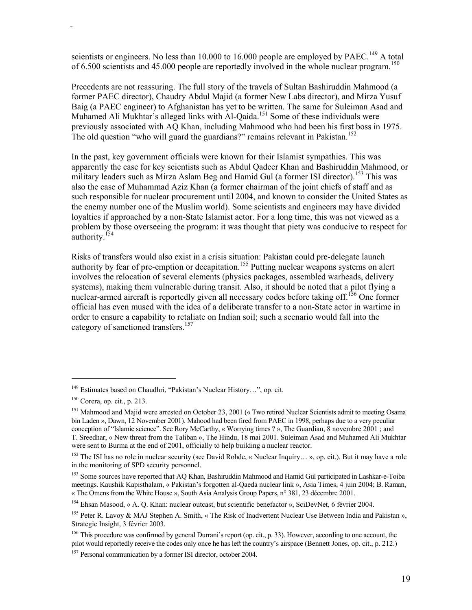scientists or engineers. No less than 10.000 to 16.000 people are employed by PAEC.<sup>149</sup> A total of 6.500 scientists and 45.000 people are reportedly involved in the whole nuclear program.<sup>150</sup>

Precedents are not reassuring. The full story of the travels of Sultan Bashiruddin Mahmood (a former PAEC director), Chaudry Abdul Majid (a former New Labs director), and Mirza Yusuf Baig (a PAEC engineer) to Afghanistan has yet to be written. The same for Suleiman Asad and Muhamed Ali Mukhtar's alleged links with Al-Qaida.<sup>151</sup> Some of these individuals were previously associated with AQ Khan, including Mahmood who had been his first boss in 1975. The old question "who will guard the guardians?" remains relevant in Pakistan.<sup>152</sup>

In the past, key government officials were known for their Islamist sympathies. This was apparently the case for key scientists such as Abdul Qadeer Khan and Bashiruddin Mahmood, or military leaders such as Mirza Aslam Beg and Hamid Gul (a former ISI director).<sup>153</sup> This was also the case of Muhammad Aziz Khan (a former chairman of the joint chiefs of staff and as such responsible for nuclear procurement until 2004, and known to consider the United States as the enemy number one of the Muslim world). Some scientists and engineers may have divided loyalties if approached by a non-State Islamist actor. For a long time, this was not viewed as a problem by those overseeing the program: it was thought that piety was conducive to respect for authority.<sup>154</sup>

Risks of transfers would also exist in a crisis situation: Pakistan could pre-delegate launch authority by fear of pre-emption or decapitation.<sup>155</sup> Putting nuclear weapons systems on alert involves the relocation of several elements (physics packages, assembled warheads, delivery systems), making them vulnerable during transit. Also, it should be noted that a pilot flying a nuclear-armed aircraft is reportedly given all necessary codes before taking off.<sup>156</sup> One former official has even mused with the idea of a deliberate transfer to a non-State actor in wartime in order to ensure a capability to retaliate on Indian soil; such a scenario would fall into the category of sanctioned transfers.<sup>157</sup>

<sup>149</sup> Estimates based on Chaudhri, "Pakistan's Nuclear History…", op. cit.

 $150$  Corera, op. cit., p. 213.

<sup>&</sup>lt;sup>151</sup> Mahmood and Majid were arrested on October 23, 2001 (« Two retired Nuclear Scientists admit to meeting Osama bin Laden », Dawn, 12 November 2001). Mahood had been fired from PAEC in 1998, perhaps due to a very peculiar conception of "Islamic science". See Rory McCarthy, « Worrying times ? », The Guardian, 8 novembre 2001 ; and T. Sreedhar, « New threat from the Taliban », The Hindu, 18 mai 2001. Suleiman Asad and Muhamed Ali Mukhtar were sent to Burma at the end of 2001, officially to help building a nuclear reactor.

<sup>&</sup>lt;sup>152</sup> The ISI has no role in nuclear security (see David Rohde, « Nuclear Inquiry... », op. cit.). But it may have a role in the monitoring of SPD security personnel.

<sup>&</sup>lt;sup>153</sup> Some sources have reported that AQ Khan, Bashiruddin Mahmood and Hamid Gul participated in Lashkar-e-Toiba meetings. Kaushik Kapisthalam, « Pakistan's forgotten al-Qaeda nuclear link », Asia Times, 4 juin 2004; B. Raman, « The Omens from the White House », South Asia Analysis Group Papers, n° 381, 23 décembre 2001.

<sup>154</sup> Ehsan Masood, « A. Q. Khan: nuclear outcast, but scientific benefactor », SciDevNet, 6 février 2004.

<sup>&</sup>lt;sup>155</sup> Peter R. Lavoy & MAJ Stephen A. Smith, « The Risk of Inadvertent Nuclear Use Between India and Pakistan », Strategic Insight, 3 février 2003.

<sup>&</sup>lt;sup>156</sup> This procedure was confirmed by general Durrani's report (op. cit., p. 33). However, according to one account, the pilot would reportedly receive the codes only once he has left the country's airspace (Bennett Jones, op. cit., p. 212.)

<sup>&</sup>lt;sup>157</sup> Personal communication by a former ISI director, october 2004.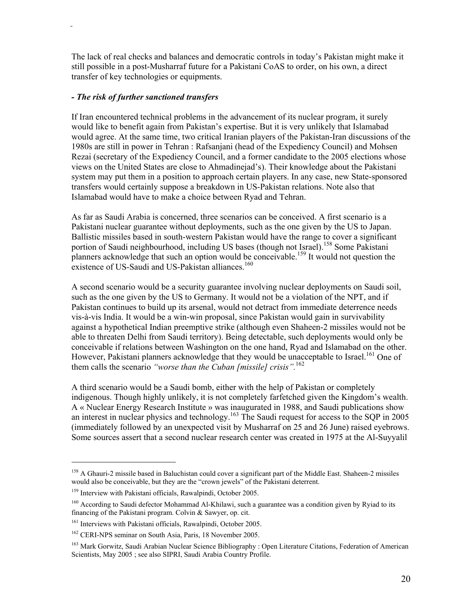The lack of real checks and balances and democratic controls in today's Pakistan might make it still possible in a post-Musharraf future for a Pakistani CoAS to order, on his own, a direct transfer of key technologies or equipments.

## *- The risk of further sanctioned transfers*

If Iran encountered technical problems in the advancement of its nuclear program, it surely would like to benefit again from Pakistan's expertise. But it is very unlikely that Islamabad would agree. At the same time, two critical Iranian players of the Pakistan-Iran discussions of the 1980s are still in power in Tehran : Rafsanjani (head of the Expediency Council) and Mohsen Rezai (secretary of the Expediency Council, and a former candidate to the 2005 elections whose views on the United States are close to Ahmadinejad's). Their knowledge about the Pakistani system may put them in a position to approach certain players. In any case, new State-sponsored transfers would certainly suppose a breakdown in US-Pakistan relations. Note also that Islamabad would have to make a choice between Ryad and Tehran.

As far as Saudi Arabia is concerned, three scenarios can be conceived. A first scenario is a Pakistani nuclear guarantee without deployments, such as the one given by the US to Japan. Ballistic missiles based in south-western Pakistan would have the range to cover a significant portion of Saudi neighbourhood, including US bases (though not Israel).<sup>158</sup> Some Pakistani planners acknowledge that such an option would be conceivable.<sup>159</sup> It would not question the existence of US-Saudi and US-Pakistan alliances.<sup>160</sup>

A second scenario would be a security guarantee involving nuclear deployments on Saudi soil, such as the one given by the US to Germany. It would not be a violation of the NPT, and if Pakistan continues to build up its arsenal, would not detract from immediate deterrence needs vis-à-vis India. It would be a win-win proposal, since Pakistan would gain in survivability against a hypothetical Indian preemptive strike (although even Shaheen-2 missiles would not be able to threaten Delhi from Saudi territory). Being detectable, such deployments would only be conceivable if relations between Washington on the one hand, Ryad and Islamabad on the other. However, Pakistani planners acknowledge that they would be unacceptable to Israel.<sup>161</sup> One of them calls the scenario *"worse than the Cuban [missile] crisis".*<sup>162</sup>

A third scenario would be a Saudi bomb, either with the help of Pakistan or completely indigenous. Though highly unlikely, it is not completely farfetched given the Kingdom's wealth. A « Nuclear Energy Research Institute » was inaugurated in 1988, and Saudi publications show an interest in nuclear physics and technology.<sup>163</sup> The Saudi request for access to the SQP in 2005 (immediately followed by an unexpected visit by Musharraf on 25 and 26 June) raised eyebrows. Some sources assert that a second nuclear research center was created in 1975 at the Al-Suyyalil

<sup>&</sup>lt;sup>158</sup> A Ghauri-2 missile based in Baluchistan could cover a significant part of the Middle East. Shaheen-2 missiles would also be conceivable, but they are the "crown jewels" of the Pakistani deterrent.

<sup>159</sup> Interview with Pakistani officials, Rawalpindi, October 2005.

<sup>&</sup>lt;sup>160</sup> According to Saudi defector Mohammad Al-Khilawi, such a guarantee was a condition given by Ryiad to its financing of the Pakistani program. Colvin & Sawyer, op. cit.

<sup>&</sup>lt;sup>161</sup> Interviews with Pakistani officials, Rawalpindi, October 2005.

<sup>162</sup> CERI-NPS seminar on South Asia, Paris, 18 November 2005.

<sup>&</sup>lt;sup>163</sup> Mark Gorwitz, Saudi Arabian Nuclear Science Bibliography : Open Literature Citations, Federation of American Scientists, May 2005 ; see also SIPRI, Saudi Arabia Country Profile.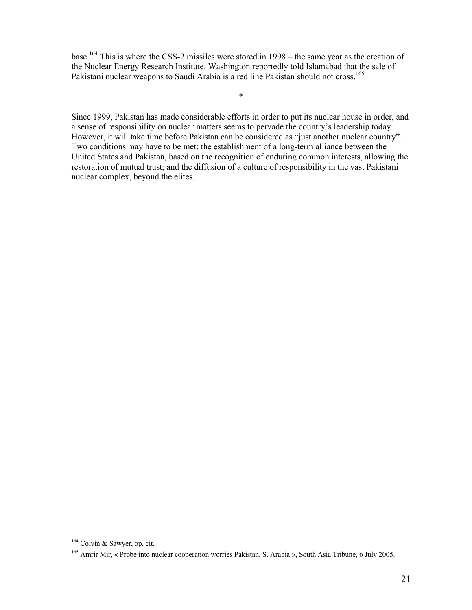base.164 This is where the CSS-2 missiles were stored in 1998 – the same year as the creation of the Nuclear Energy Research Institute. Washington reportedly told Islamabad that the sale of Pakistani nuclear weapons to Saudi Arabia is a red line Pakistan should not cross.<sup>165</sup>

\*

Since 1999, Pakistan has made considerable efforts in order to put its nuclear house in order, and a sense of responsibility on nuclear matters seems to pervade the country's leadership today. However, it will take time before Pakistan can be considered as "just another nuclear country". Two conditions may have to be met: the establishment of a long-term alliance between the United States and Pakistan, based on the recognition of enduring common interests, allowing the restoration of mutual trust; and the diffusion of a culture of responsibility in the vast Pakistani nuclear complex, beyond the elites.

<sup>164</sup> Colvin & Sawyer, op, cit.

<sup>&</sup>lt;sup>165</sup> Amrir Mir, « Probe into nuclear cooperation worries Pakistan, S. Arabia », South Asia Tribune, 6 July 2005.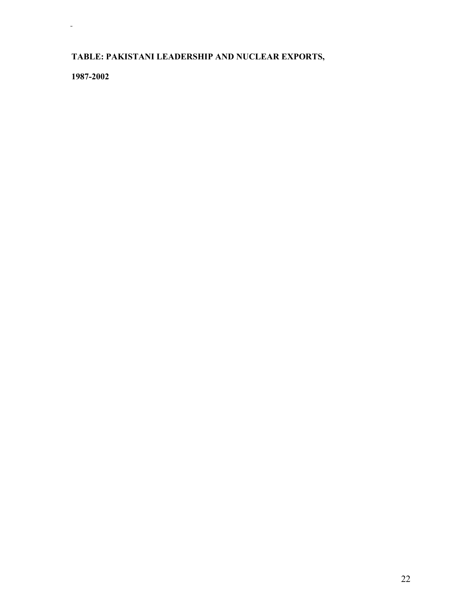# **TABLE: PAKISTANI LEADERSHIP AND NUCLEAR EXPORTS,**

**1987-2002**

 $\frac{1}{2}$  .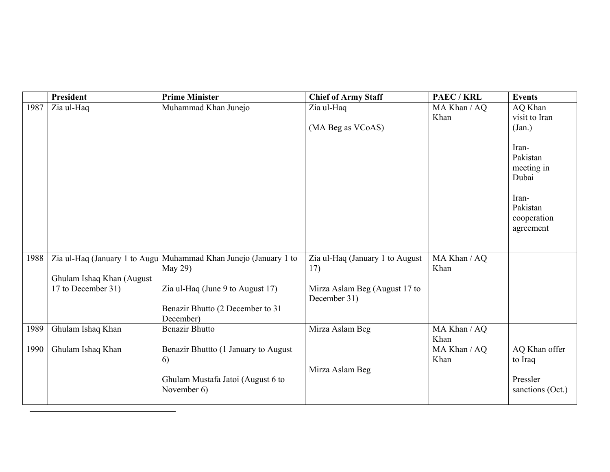|      | President                     | <b>Prime Minister</b>                | <b>Chief of Army Staff</b>                    | PAEC / KRL           | <b>Events</b>                                                                             |
|------|-------------------------------|--------------------------------------|-----------------------------------------------|----------------------|-------------------------------------------------------------------------------------------|
| 1987 | Zia ul-Haq                    | Muhammad Khan Junejo                 | Zia ul-Haq                                    | MA Khan / AQ         | AQ Khan                                                                                   |
|      |                               |                                      |                                               | Khan                 | visit to Iran                                                                             |
|      |                               |                                      | (MA Beg as VCoAS)                             |                      | (Jan.)                                                                                    |
|      |                               |                                      |                                               |                      | Iran-<br>Pakistan<br>meeting in<br>Dubai<br>Iran-<br>Pakistan<br>cooperation<br>agreement |
| 1988 | Zia ul-Haq (January 1 to Augu | Muhammad Khan Junejo (January 1 to   | Zia ul-Haq (January 1 to August               | MA Khan / AQ         |                                                                                           |
|      |                               | May $29$ )                           | 17)                                           | Khan                 |                                                                                           |
|      | Ghulam Ishaq Khan (August     |                                      |                                               |                      |                                                                                           |
|      | 17 to December 31)            | Zia ul-Haq (June 9 to August 17)     | Mirza Aslam Beg (August 17 to<br>December 31) |                      |                                                                                           |
|      |                               | Benazir Bhutto (2 December to 31     |                                               |                      |                                                                                           |
|      |                               | December)                            |                                               |                      |                                                                                           |
| 1989 | Ghulam Ishaq Khan             | <b>Benazir Bhutto</b>                | Mirza Aslam Beg                               | MA Khan / AQ<br>Khan |                                                                                           |
| 1990 | Ghulam Ishaq Khan             | Benazir Bhuttto (1 January to August |                                               | MA Khan / AQ         | AQ Khan offer                                                                             |
|      |                               | 6)                                   |                                               | Khan                 | to Iraq                                                                                   |
|      |                               | Ghulam Mustafa Jatoi (August 6 to    | Mirza Aslam Beg                               |                      | Pressler                                                                                  |
|      |                               | November 6)                          |                                               |                      | sanctions (Oct.)                                                                          |
|      |                               |                                      |                                               |                      |                                                                                           |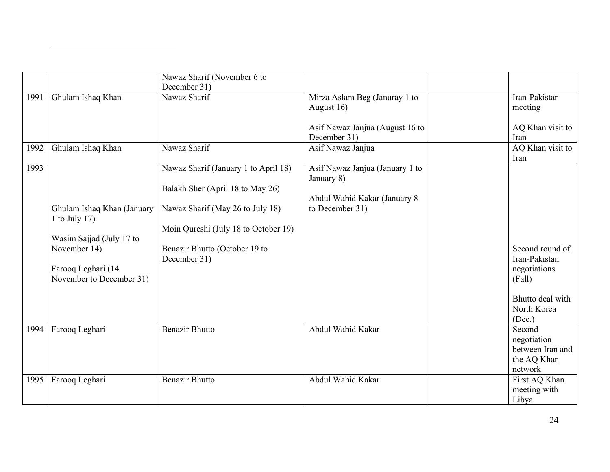|      |                                                                                                                                           | Nawaz Sharif (November 6 to<br>December 31)                                                                                                                                                           |                                                                                                  |                                                                                                         |
|------|-------------------------------------------------------------------------------------------------------------------------------------------|-------------------------------------------------------------------------------------------------------------------------------------------------------------------------------------------------------|--------------------------------------------------------------------------------------------------|---------------------------------------------------------------------------------------------------------|
| 1991 | Ghulam Ishaq Khan                                                                                                                         | Nawaz Sharif                                                                                                                                                                                          | Mirza Aslam Beg (Januray 1 to<br>August 16)<br>Asif Nawaz Janjua (August 16 to<br>December 31)   | Iran-Pakistan<br>meeting<br>AQ Khan visit to<br>Iran                                                    |
| 1992 | Ghulam Ishaq Khan                                                                                                                         | Nawaz Sharif                                                                                                                                                                                          | Asif Nawaz Janjua                                                                                | AQ Khan visit to<br>Iran                                                                                |
| 1993 | Ghulam Ishaq Khan (January<br>1 to July 17)<br>Wasim Sajjad (July 17 to<br>November 14)<br>Farooq Leghari (14<br>November to December 31) | Nawaz Sharif (January 1 to April 18)<br>Balakh Sher (April 18 to May 26)<br>Nawaz Sharif (May 26 to July 18)<br>Moin Qureshi (July 18 to October 19)<br>Benazir Bhutto (October 19 to<br>December 31) | Asif Nawaz Janjua (January 1 to<br>January 8)<br>Abdul Wahid Kakar (January 8<br>to December 31) | Second round of<br>Iran-Pakistan<br>negotiations<br>(Fall)<br>Bhutto deal with<br>North Korea<br>(Dec.) |
| 1994 | Farooq Leghari                                                                                                                            | <b>Benazir Bhutto</b>                                                                                                                                                                                 | Abdul Wahid Kakar                                                                                | Second<br>negotiation<br>between Iran and<br>the AQ Khan<br>network                                     |
| 1995 | Farooq Leghari                                                                                                                            | <b>Benazir Bhutto</b>                                                                                                                                                                                 | Abdul Wahid Kakar                                                                                | First AQ Khan<br>meeting with<br>Libya                                                                  |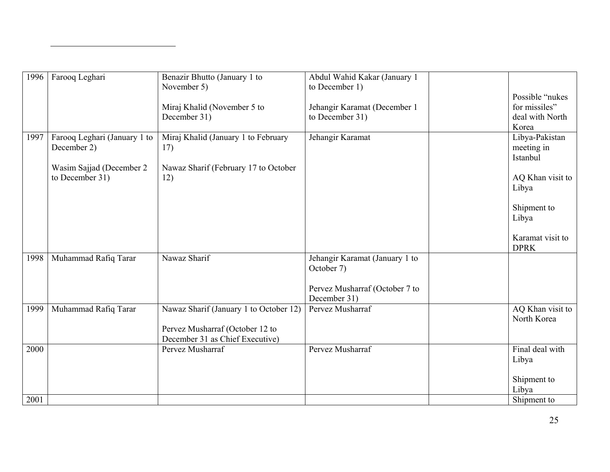| 1996 | Farooq Leghari                              | Benazir Bhutto (January 1 to<br>November 5)                               | Abdul Wahid Kakar (January 1<br>to December 1) |                                          |
|------|---------------------------------------------|---------------------------------------------------------------------------|------------------------------------------------|------------------------------------------|
|      |                                             |                                                                           |                                                | Possible "nukes                          |
|      |                                             | Miraj Khalid (November 5 to                                               | Jehangir Karamat (December 1                   | for missiles"                            |
|      |                                             | December 31)                                                              | to December 31)                                | deal with North                          |
|      |                                             |                                                                           |                                                | Korea                                    |
| 1997 | Farooq Leghari (January 1 to<br>December 2) | Miraj Khalid (January 1 to February<br>17)                                | Jehangir Karamat                               | Libya-Pakistan<br>meeting in<br>Istanbul |
|      | Wasim Sajjad (December 2                    | Nawaz Sharif (February 17 to October                                      |                                                |                                          |
|      | to December 31)                             | 12)                                                                       |                                                | AQ Khan visit to<br>Libya                |
|      |                                             |                                                                           |                                                | Shipment to<br>Libya                     |
|      |                                             |                                                                           |                                                | Karamat visit to<br><b>DPRK</b>          |
| 1998 | Muhammad Rafiq Tarar                        | Nawaz Sharif                                                              | Jehangir Karamat (January 1 to<br>October 7)   |                                          |
|      |                                             |                                                                           | Pervez Musharraf (October 7 to<br>December 31) |                                          |
| 1999 | Muhammad Rafiq Tarar                        | Nawaz Sharif (January 1 to October 12)<br>Pervez Musharraf (October 12 to | Pervez Musharraf                               | AQ Khan visit to<br>North Korea          |
|      |                                             | December 31 as Chief Executive)                                           |                                                |                                          |
| 2000 |                                             | Pervez Musharraf                                                          | Pervez Musharraf                               | Final deal with<br>Libya                 |
|      |                                             |                                                                           |                                                | Shipment to<br>Libya                     |
| 2001 |                                             |                                                                           |                                                | Shipment to                              |